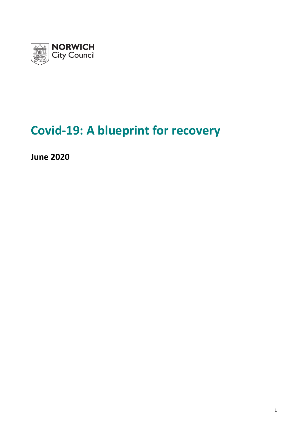

# **Covid-19: A blueprint for recovery**

**June 2020**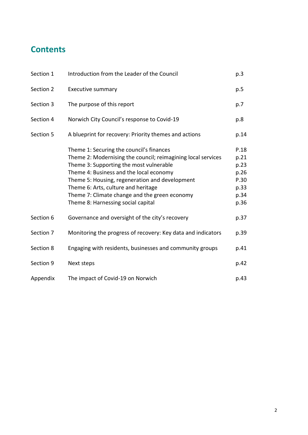# **Contents**

| Section 1 | Introduction from the Leader of the Council                                                                                                                                                                                                                                                                                                                                    | p.3                                                          |
|-----------|--------------------------------------------------------------------------------------------------------------------------------------------------------------------------------------------------------------------------------------------------------------------------------------------------------------------------------------------------------------------------------|--------------------------------------------------------------|
| Section 2 | <b>Executive summary</b>                                                                                                                                                                                                                                                                                                                                                       | p.5                                                          |
| Section 3 | The purpose of this report                                                                                                                                                                                                                                                                                                                                                     | p.7                                                          |
| Section 4 | Norwich City Council's response to Covid-19                                                                                                                                                                                                                                                                                                                                    | p.8                                                          |
| Section 5 | A blueprint for recovery: Priority themes and actions                                                                                                                                                                                                                                                                                                                          | p.14                                                         |
|           | Theme 1: Securing the council's finances<br>Theme 2: Modernising the council; reimagining local services<br>Theme 3: Supporting the most vulnerable<br>Theme 4: Business and the local economy<br>Theme 5: Housing, regeneration and development<br>Theme 6: Arts, culture and heritage<br>Theme 7: Climate change and the green economy<br>Theme 8: Harnessing social capital | P.18<br>p.21<br>p.23<br>p.26<br>P.30<br>p.33<br>p.34<br>p.36 |
| Section 6 | Governance and oversight of the city's recovery                                                                                                                                                                                                                                                                                                                                | p.37                                                         |
| Section 7 | Monitoring the progress of recovery: Key data and indicators                                                                                                                                                                                                                                                                                                                   | p.39                                                         |
| Section 8 | Engaging with residents, businesses and community groups                                                                                                                                                                                                                                                                                                                       | p.41                                                         |
| Section 9 | Next steps                                                                                                                                                                                                                                                                                                                                                                     | p.42                                                         |
| Appendix  | The impact of Covid-19 on Norwich                                                                                                                                                                                                                                                                                                                                              | p.43                                                         |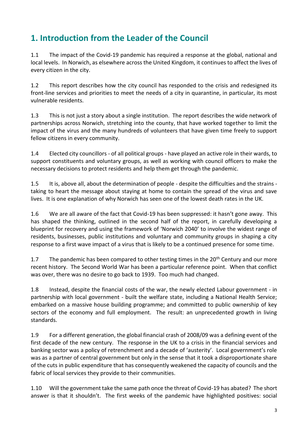# **1. Introduction from the Leader of the Council**

1.1 The impact of the Covid-19 pandemic has required a response at the global, national and local levels. In Norwich, as elsewhere across the United Kingdom, it continues to affect the lives of every citizen in the city.

1.2 This report describes how the city council has responded to the crisis and redesigned its front-line services and priorities to meet the needs of a city in quarantine, in particular, its most vulnerable residents.

1.3 This is not just a story about a single institution. The report describes the wide network of partnerships across Norwich, stretching into the county, that have worked together to limit the impact of the virus and the many hundreds of volunteers that have given time freely to support fellow citizens in every community.

1.4 Elected city councillors - of all political groups - have played an active role in their wards, to support constituents and voluntary groups, as well as working with council officers to make the necessary decisions to protect residents and help them get through the pandemic.

1.5 It is, above all, about the determination of people - despite the difficulties and the strains taking to heart the message about staying at home to contain the spread of the virus and save lives. It is one explanation of why Norwich has seen one of the lowest death rates in the UK.

1.6 We are all aware of the fact that Covid-19 has been suppressed: it hasn't gone away. This has shaped the thinking, outlined in the second half of the report, in carefully developing a blueprint for recovery and using the framework of 'Norwich 2040' to involve the widest range of residents, businesses, public institutions and voluntary and community groups in shaping a city response to a first wave impact of a virus that is likely to be a continued presence for some time.

1.7 The pandemic has been compared to other testing times in the  $20<sup>th</sup>$  Century and our more recent history. The Second World War has been a particular reference point. When that conflict was over, there was no desire to go back to 1939. Too much had changed.

1.8 Instead, despite the financial costs of the war, the newly elected Labour government - in partnership with local government - built the welfare state, including a National Health Service; embarked on a massive house building programme; and committed to public ownership of key sectors of the economy and full employment. The result: an unprecedented growth in living standards.

1.9 For a different generation, the global financial crash of 2008/09 was a defining event of the first decade of the new century. The response in the UK to a crisis in the financial services and banking sector was a policy of retrenchment and a decade of 'austerity'. Local government's role was as a partner of central government but only in the sense that it took a disproportionate share of the cuts in public expenditure that has consequently weakened the capacity of councils and the fabric of local services they provide to their communities.

1.10 Will the government take the same path once the threat of Covid-19 has abated? The short answer is that it shouldn't. The first weeks of the pandemic have highlighted positives: social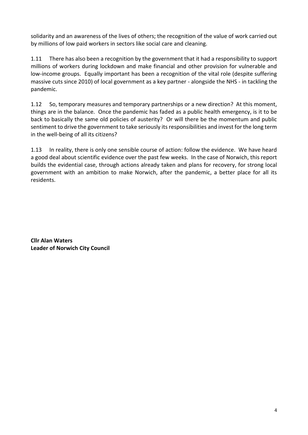solidarity and an awareness of the lives of others; the recognition of the value of work carried out by millions of low paid workers in sectors like social care and cleaning.

1.11 There has also been a recognition by the government that it had a responsibility to support millions of workers during lockdown and make financial and other provision for vulnerable and low-income groups. Equally important has been a recognition of the vital role (despite suffering massive cuts since 2010) of local government as a key partner - alongside the NHS - in tackling the pandemic.

1.12 So, temporary measures and temporary partnerships or a new direction? At this moment, things are in the balance. Once the pandemic has faded as a public health emergency, is it to be back to basically the same old policies of austerity? Or will there be the momentum and public sentiment to drive the government to take seriously its responsibilities and invest for the long term in the well-being of all its citizens?

1.13 In reality, there is only one sensible course of action: follow the evidence. We have heard a good deal about scientific evidence over the past few weeks. In the case of Norwich, this report builds the evidential case, through actions already taken and plans for recovery, for strong local government with an ambition to make Norwich, after the pandemic, a better place for all its residents.

**Cllr Alan Waters Leader of Norwich City Council**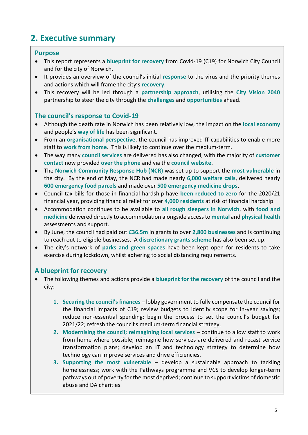# **2. Executive summary**

#### **Purpose**

- This report represents a **blueprint for recovery** from Covid-19 (C19) for Norwich City Council and for the city of Norwich.
- It provides an overview of the council's initial **response** to the virus and the priority themes and actions which will frame the city's **recovery**.
- This recovery will be led through a **partnership approach**, utilising the **City Vision 2040** partnership to steer the city through the **challenges** and **opportunities** ahead.

#### **The council's response to Covid-19**

- Although the death rate in Norwich has been relatively low, the impact on the **local economy** and people's **way of life** has been significant.
- From an **organisational perspective**, the council has improved IT capabilities to enable more staff to **work from home**. This is likely to continue over the medium-term.
- The way many **council services** are delivered has also changed, with the majority of **customer contact** now provided **over the phone** and via the **council website**.
- The **Norwich Community Response Hub (NCR)** was set up to support the **most vulnerable** in the city. By the end of May, the NCR had made nearly **6,000 welfare calls**, delivered nearly **600 emergency food parcels** and made over **500 emergency medicine drops**.
- Council tax bills for those in financial hardship have **been reduced to zero** for the 2020/21 financial year, providing financial relief for over **4,000 residents** at risk of financial hardship.
- Accommodation continues to be available to **all rough sleepers in Norwich**, with **food and medicine** delivered directly to accommodation alongside access to **mental** and **physical health**  assessments and support.
- By June, the council had paid out **£36.5m** in grants to over **2,800 businesses** and is continuing to reach out to eligible businesses. A **discretionary grants scheme** has also been set up.
- The city's network of **parks and green spaces** have been kept open for residents to take exercise during lockdown, whilst adhering to social distancing requirements.

### **A blueprint for recovery**

- The following themes and actions provide a **blueprint for the recovery** of the council and the city:
	- **1. Securing the council's finances** lobby government to fully compensate the council for the financial impacts of C19; review budgets to identify scope for in-year savings; reduce non-essential spending; begin the process to set the council's budget for 2021/22; refresh the council's medium-term financial strategy.
	- **2. Modernising the council; reimagining local services** continue to allow staff to work from home where possible; reimagine how services are delivered and recast service transformation plans; develop an IT and technology strategy to determine how technology can improve services and drive efficiencies.
	- **3. Supporting the most vulnerable** develop a sustainable approach to tackling homelessness; work with the Pathways programme and VCS to develop longer-term pathways out of poverty for the most deprived; continue to support victims of domestic abuse and DA charities.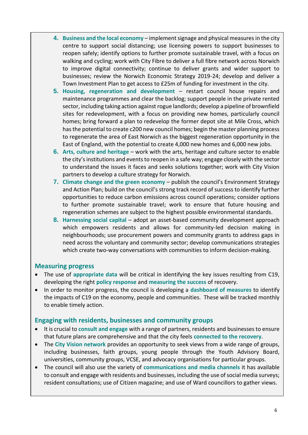- **4. Business and the local economy** implement signage and physical measures in the city centre to support social distancing; use licensing powers to support businesses to reopen safely; identify options to further promote sustainable travel, with a focus on walking and cycling; work with City Fibre to deliver a full fibre network across Norwich to improve digital connectivity; continue to deliver grants and wider support to businesses; review the Norwich Economic Strategy 2019-24; develop and deliver a Town Investment Plan to get access to £25m of funding for investment in the city.
- **5. Housing, regeneration and development**  restart council house repairs and maintenance programmes and clear the backlog; support people in the private rented sector, including taking action against rogue landlords; develop a pipeline of brownfield sites for redevelopment, with a focus on providing new homes, particularly council homes; bring forward a plan to redevelop the former depot site at Mile Cross, which has the potential to create c200 new council homes; begin the master planning process to regenerate the area of East Norwich as the biggest regeneration opportunity in the East of England, with the potential to create 4,000 new homes and 6,000 new jobs.
- **6.** Arts, culture and heritage work with the arts, heritage and culture sector to enable the city's institutions and events to reopen in a safe way; engage closely with the sector to understand the issues it faces and seeks solutions together; work with City Vision partners to develop a culture strategy for Norwich.
- **7. Climate change and the green economy** publish the council's Environment Strategy and Action Plan; build on the council's strong track record of success to identify further opportunities to reduce carbon emissions across council operations; consider options to further promote sustainable travel; work to ensure that future housing and regeneration schemes are subject to the highest possible environmental standards.
- **8. Harnessing social capital**  adopt an asset-based community development approach which empowers residents and allows for community-led decision making in neighbourhoods; use procurement powers and community grants to address gaps in need across the voluntary and community sector; develop communications strategies which create two-way conversations with communities to inform decision-making.

#### **Measuring progress**

- The use of **appropriate data** will be critical in identifying the key issues resulting from C19, developing the right **policy response** and **measuring the success** of recovery.
- In order to monitor progress, the council is developing a **dashboard of measures** to identify the impacts of C19 on the economy, people and communities. These will be tracked monthly to enable timely action.

#### **Engaging with residents, businesses and community groups**

- It is crucial to **consult and engage** with a range of partners, residents and businesses to ensure that future plans are comprehensive and that the city feels **connected to the recovery**.
- The **City Vision network** provides an opportunity to seek views from a wide range of groups, including businesses, faith groups, young people through the Youth Advisory Board, universities, community groups, VCSE, and advocacy organisations for particular groups.
- The council will also use the variety of **communications and media channels** it has available to consult and engage with residents and businesses, including the use of social media surveys; resident consultations; use of Citizen magazine; and use of Ward councillors to gather views.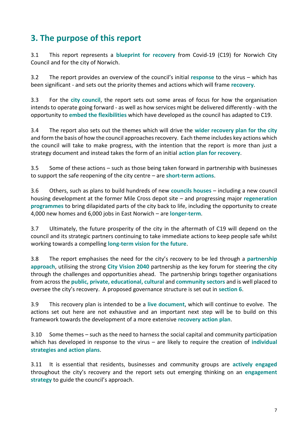# **3. The purpose of this report**

3.1 This report represents a **blueprint for recovery** from Covid-19 (C19) for Norwich City Council and for the city of Norwich.

3.2 The report provides an overview of the council's initial **response** to the virus – which has been significant - and sets out the priority themes and actions which will frame **recovery**.

3.3 For the **city council**, the report sets out some areas of focus for how the organisation intends to operate going forward - as well as how services might be delivered differently - with the opportunity to **embed the flexibilities** which have developed as the council has adapted to C19.

3.4 The report also sets out the themes which will drive the **wider recovery plan for the city** and form the basis of how the council approaches recovery. Each theme includes key actions which the council will take to make progress, with the intention that the report is more than just a strategy document and instead takes the form of an initial **action plan for recovery**.

3.5 Some of these actions – such as those being taken forward in partnership with businesses to support the safe reopening of the city centre – are **short-term actions**.

3.6 Others, such as plans to build hundreds of new **councils houses** – including a new council housing development at the former Mile Cross depot site – and progressing major **regeneration programmes** to bring dilapidated parts of the city back to life, including the opportunity to create 4,000 new homes and 6,000 jobs in East Norwich – are **longer-term**.

3.7 Ultimately, the future prosperity of the city in the aftermath of C19 will depend on the council and its strategic partners continuing to take immediate actions to keep people safe whilst working towards a compelling **long-term vision for the future**.

3.8 The report emphasises the need for the city's recovery to be led through a **partnership approach**, utilising the strong **City Vision 2040** partnership as the key forum for steering the city through the challenges and opportunities ahead. The partnership brings together organisations from across the **public, private, educational, cultural** and **community sectors** and is well placed to oversee the city's recovery. A proposed governance structure is set out in **section 6**.

3.9 This recovery plan is intended to be a **live document**, which will continue to evolve. The actions set out here are not exhaustive and an important next step will be to build on this framework towards the development of a more extensive **recovery action plan**.

3.10 Some themes – such as the need to harness the social capital and community participation which has developed in response to the virus – are likely to require the creation of **individual strategies and action plans**.

3.11 It is essential that residents, businesses and community groups are **actively engaged** throughout the city's recovery and the report sets out emerging thinking on an **engagement strategy** to guide the council's approach.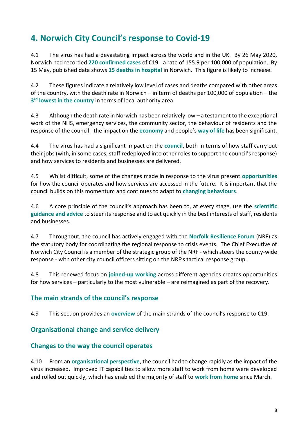# **4. Norwich City Council's response to Covid-19**

4.1 The virus has had a devastating impact across the world and in the UK. By 26 May 2020, Norwich had recorded **220 confirmed cases** of C19 - a rate of 155.9 per 100,000 of population. By 15 May, published data shows **15 deaths in hospital** in Norwich. This figure is likely to increase.

4.2 These figures indicate a relatively low level of cases and deaths compared with other areas of the country, with the death rate in Norwich – in term of deaths per 100,000 of population – the **3 rd lowest in the country** in terms of local authority area.

4.3 Although the death rate in Norwich has been relatively low – a testament to the exceptional work of the NHS, emergency services, the community sector, the behaviour of residents and the response of the council - the impact on the **economy** and people's **way of life** has been significant.

4.4 The virus has had a significant impact on the **council**, both in terms of how staff carry out their jobs (with, in some cases, staff redeployed into other roles to support the council's response) and how services to residents and businesses are delivered.

4.5 Whilst difficult, some of the changes made in response to the virus present **opportunities** for how the council operates and how services are accessed in the future. It is important that the council builds on this momentum and continues to adapt to **changing behaviours**.

4.6 A core principle of the council's approach has been to, at every stage, use the **scientific guidance and advice** to steer its response and to act quickly in the best interests of staff, residents and businesses.

4.7 Throughout, the council has actively engaged with the **Norfolk Resilience Forum** (NRF) as the statutory body for coordinating the regional response to crisis events. The Chief Executive of Norwich City Council is a member of the strategic group of the NRF - which steers the county-wide response - with other city council officers sitting on the NRF's tactical response group.

4.8 This renewed focus on **joined-up working** across different agencies creates opportunities for how services – particularly to the most vulnerable – are reimagined as part of the recovery.

### **The main strands of the council's response**

4.9 This section provides an **overview** of the main strands of the council's response to C19.

### **Organisational change and service delivery**

### **Changes to the way the council operates**

4.10 From an **organisational perspective**, the council had to change rapidly as the impact of the virus increased. Improved IT capabilities to allow more staff to work from home were developed and rolled out quickly, which has enabled the majority of staff to **work from home** since March.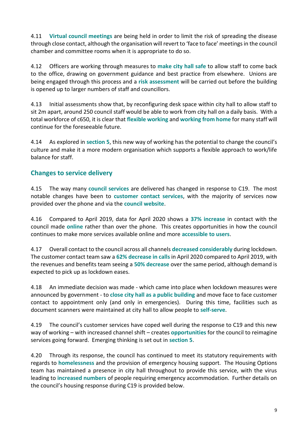4.11 **Virtual council meetings** are being held in order to limit the risk of spreading the disease through close contact, although the organisation will revert to 'face to face' meetings in the council chamber and committee rooms when it is appropriate to do so.

4.12 Officers are working through measures to **make city hall safe** to allow staff to come back to the office, drawing on government guidance and best practice from elsewhere. Unions are being engaged through this process and a **risk assessment** will be carried out before the building is opened up to larger numbers of staff and councillors.

4.13 Initial assessments show that, by reconfiguring desk space within city hall to allow staff to sit 2m apart, around 250 council staff would be able to work from city hall on a daily basis. With a total workforce of c650, it is clear that **flexible working** and **working from home** for many staff will continue for the foreseeable future.

4.14 As explored in **section 5**, this new way of working has the potential to change the council's culture and make it a more modern organisation which supports a flexible approach to work/life balance for staff.

# **Changes to service delivery**

4.15 The way many **council services** are delivered has changed in response to C19. The most notable changes have been to **customer contact services**, with the majority of services now provided over the phone and via the **council website**.

4.16 Compared to April 2019, data for April 2020 shows a **37% increase** in contact with the council made **online** rather than over the phone. This creates opportunities in how the council continues to make more services available online and more **accessible to users**.

4.17 Overall contact to the council across all channels **decreased considerably** during lockdown. The customer contact team saw a **62% decrease in calls** in April 2020 compared to April 2019, with the revenues and benefits team seeing a **50% decrease** over the same period, although demand is expected to pick up as lockdown eases.

4.18 An immediate decision was made - which came into place when lockdown measures were announced by government - to **close city hall as a public building** and move face to face customer contact to appointment only (and only in emergencies). During this time, facilities such as document scanners were maintained at city hall to allow people to **self-serve**.

4.19 The council's customer services have coped well during the response to C19 and this new way of working – with increased channel shift – creates **opportunities** for the council to reimagine services going forward. Emerging thinking is set out in **section 5**.

4.20 Through its response, the council has continued to meet its statutory requirements with regards to **homelessness** and the provision of emergency housing support. The Housing Options team has maintained a presence in city hall throughout to provide this service, with the virus leading to **increased numbers** of people requiring emergency accommodation. Further details on the council's housing response during C19 is provided below.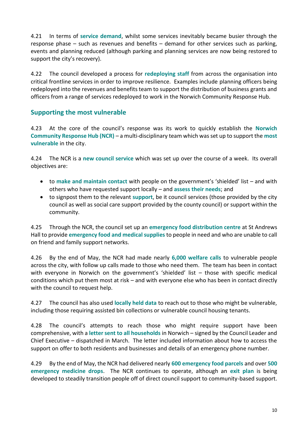4.21 In terms of **service demand**, whilst some services inevitably became busier through the response phase – such as revenues and benefits – demand for other services such as parking, events and planning reduced (although parking and planning services are now being restored to support the city's recovery).

4.22 The council developed a process for **redeploying staff** from across the organisation into critical frontline services in order to improve resilience. Examples include planning officers being redeployed into the revenues and benefits team to support the distribution of business grants and officers from a range of services redeployed to work in the Norwich Community Response Hub.

### **Supporting the most vulnerable**

4.23 At the core of the council's response was its work to quickly establish the **Norwich Community Response Hub (NCR)** – a multi-disciplinary team which was set up to support the **most vulnerable** in the city.

4.24 The NCR is a **new council service** which was set up over the course of a week. Its overall objectives are:

- to **make and maintain contact** with people on the government's 'shielded' list and with others who have requested support locally – and **assess their needs**; and
- to signpost them to the relevant **support**, be it council services (those provided by the city council as well as social care support provided by the county council) or support within the community.

4.25 Through the NCR, the council set up an **emergency food distribution centre** at St Andrews Hall to provide **emergency food and medical supplies** to people in need and who are unable to call on friend and family support networks.

4.26 By the end of May, the NCR had made nearly **6,000 welfare calls** to vulnerable people across the city, with follow up calls made to those who need them. The team has been in contact with everyone in Norwich on the government's 'shielded' list – those with specific medical conditions which put them most at risk – and with everyone else who has been in contact directly with the council to request help.

4.27 The council has also used **locally held data** to reach out to those who might be vulnerable, including those requiring assisted bin collections or vulnerable council housing tenants.

4.28 The council's attempts to reach those who might require support have been comprehensive, with a **letter sent to all households** in Norwich – signed by the Council Leader and Chief Executive – dispatched in March. The letter included information about how to access the support on offer to both residents and businesses and details of an emergency phone number.

4.29 By the end of May, the NCR had delivered nearly **600 emergency food parcels** and over **500 emergency medicine drops**. The NCR continues to operate, although an **exit plan** is being developed to steadily transition people off of direct council support to community-based support.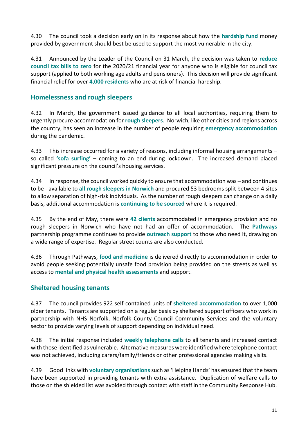4.30 The council took a decision early on in its response about how the **hardship fund** money provided by government should best be used to support the most vulnerable in the city.

4.31 Announced by the Leader of the Council on 31 March, the decision was taken to **reduce council tax bills to zero** for the 2020/21 financial year for anyone who is eligible for council tax support (applied to both working age adults and pensioners). This decision will provide significant financial relief for over **4,000 residents** who are at risk of financial hardship.

#### **Homelessness and rough sleepers**

4.32 In March, the government issued guidance to all local authorities, requiring them to urgently procure accommodation for **rough sleepers**. Norwich, like other cities and regions across the country, has seen an increase in the number of people requiring **emergency accommodation** during the pandemic.

4.33 This increase occurred for a variety of reasons, including informal housing arrangements – so called **'sofa surfing'** – coming to an end during lockdown. The increased demand placed significant pressure on the council's housing services.

4.34 In response, the council worked quickly to ensure that accommodation was – and continues to be - available to **all rough sleepers in Norwich** and procured 53 bedrooms split between 4 sites to allow separation of high-risk individuals. As the number of rough sleepers can change on a daily basis, additional accommodation is **continuing to be sourced** where it is required.

4.35 By the end of May, there were **42 clients** accommodated in emergency provision and no rough sleepers in Norwich who have not had an offer of accommodation. The **Pathways** partnership programme continues to provide **outreach support** to those who need it, drawing on a wide range of expertise. Regular street counts are also conducted.

4.36 Through Pathways, **food and medicine** is delivered directly to accommodation in order to avoid people seeking potentially unsafe food provision being provided on the streets as well as access to **mental and physical health assessments** and support.

### **Sheltered housing tenants**

4.37 The council provides 922 self-contained units of **sheltered accommodation** to over 1,000 older tenants. Tenants are supported on a regular basis by sheltered support officers who work in partnership with NHS Norfolk, Norfolk County Council Community Services and the voluntary sector to provide varying levels of support depending on individual need.

4.38 The initial response included **weekly telephone calls** to all tenants and increased contact with those identified as vulnerable. Alternative measures were identified where telephone contact was not achieved, including carers/family/friends or other professional agencies making visits.

4.39 Good links with **voluntary organisations** such as 'Helping Hands' has ensured that the team have been supported in providing tenants with extra assistance. Duplication of welfare calls to those on the shielded list was avoided through contact with staff in the Community Response Hub.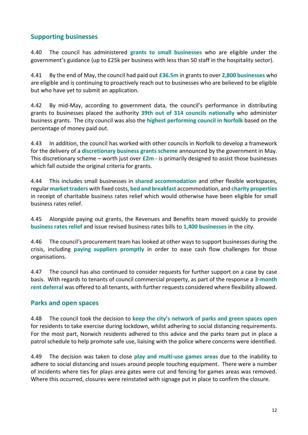#### **Supporting businesses**

4.40 The council has administered **grants to small businesses** who are eligible under the government's guidance (up to £25k per business with less than 50 staff in the hospitality sector).

4.41 By the end of May, the council had paid out **£36.5m** in grants to over **2,800 businesses** who are eligible and is continuing to proactively reach out to businesses who are believed to be eligible but who have yet to submit an application.

4.42 By mid-May, according to government data, the council's performance in distributing grants to businesses placed the authority **39th out of 314 councils nationally** who administer business grants. The city council was also the **highest performing council in Norfolk** based on the percentage of money paid out.

4.43 In addition, the council has worked with other councils in Norfolk to develop a framework for the delivery of a **discretionary business grants scheme** announced by the government in May. This discretionary scheme – worth just over **£2m** - is primarily designed to assist those businesses which fall outside the original criteria for grants.

4.44 This includes small businesses in **shared accommodation** and other flexible workspaces, regular **market traders** with fixed costs, **bed and breakfast** accommodation, and **charity properties** in receipt of charitable business rates relief which would otherwise have been eligible for small business rates relief.

4.45 Alongside paying out grants, the Revenues and Benefits team moved quickly to provide **business rates relief** and issue revised business rates bills to **1,400 businesses** in the city.

4.46 The council's procurement team has looked at other ways to support businesses during the crisis, including **paying suppliers promptly** in order to ease cash flow challenges for those organisations.

4.47 The council has also continued to consider requests for further support on a case by case basis. With regards to tenants of council commercial property, as part of the response a **3-month rent deferral** was offered to all tenants, with further requests considered where flexibility allowed.

#### **Parks and open spaces**

4.48 The council took the decision to **keep the city's network of parks and green spaces open** for residents to take exercise during lockdown, whilst adhering to social distancing requirements. For the most part, Norwich residents adhered to this advice and the parks team put in place a patrol schedule to help promote safe use, liaising with the police where concerns were identified.

4.49 The decision was taken to close **play and multi-use games areas** due to the inability to adhere to social distancing and issues around people touching equipment. There were a number of incidents where ties for plays area gates were cut and fencing for games areas was removed. Where this occurred, closures were reinstated with signage put in place to confirm the closure.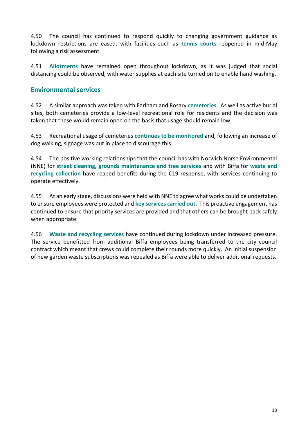4.50 The council has continued to respond quickly to changing government guidance as lockdown restrictions are eased, with facilities such as **tennis courts** reopened in mid-May following a risk assessment.

4.51 **Allotments** have remained open throughout lockdown, as it was judged that social distancing could be observed, with water supplies at each site turned on to enable hand washing.

#### **Environmental services**

4.52 A similar approach was taken with Earlham and Rosary **cemeteries**. As well as active burial sites, both cemeteries provide a low-level recreational role for residents and the decision was taken that these would remain open on the basis that usage should remain low.

4.53 Recreational usage of cemeteries **continues to be monitored** and, following an increase of dog walking, signage was put in place to discourage this.

4.54 The positive working relationships that the council has with Norwich Norse Environmental (NNE) for **street cleaning, grounds maintenance and tree services** and with Biffa for **waste and recycling collection** have reaped benefits during the C19 response, with services continuing to operate effectively.

4.55 At an early stage, discussions were held with NNE to agree what works could be undertaken to ensure employees were protected and **key services carried out**. This proactive engagement has continued to ensure that priority services are provided and that others can be brought back safely when appropriate.

4.56 **Waste and recycling services** have continued during lockdown under increased pressure. The service benefitted from additional Biffa employees being transferred to the city council contract which meant that crews could complete their rounds more quickly. An initial suspension of new garden waste subscriptions was repealed as Biffa were able to deliver additional requests.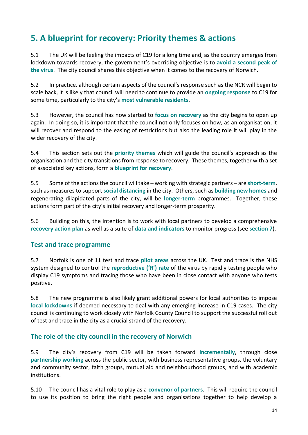# **5. A blueprint for recovery: Priority themes & actions**

5.1 The UK will be feeling the impacts of C19 for a long time and, as the country emerges from lockdown towards recovery, the government's overriding objective is to **avoid a second peak of the virus**. The city council shares this objective when it comes to the recovery of Norwich.

5.2 In practice, although certain aspects of the council's response such as the NCR will begin to scale back, it is likely that council will need to continue to provide an **ongoing response** to C19 for some time, particularly to the city's **most vulnerable residents**.

5.3 However, the council has now started to **focus on recovery** as the city begins to open up again. In doing so, it is important that the council not only focuses on how, as an organisation, it will recover and respond to the easing of restrictions but also the leading role it will play in the wider recovery of the city.

5.4 This section sets out the **priority themes** which will guide the council's approach as the organisation and the city transitions from response to recovery. These themes, together with a set of associated key actions, form a **blueprint for recovery**.

5.5 Some of the actions the council will take – working with strategic partners – are **short-term**, such as measures to support **social distancing** in the city. Others, such as **building new homes** and regenerating dilapidated parts of the city, will be **longer-term** programmes. Together, these actions form part of the city's initial recovery and longer-term prosperity.

5.6 Building on this, the intention is to work with local partners to develop a comprehensive **recovery action plan** as well as a suite of **data and indicators** to monitor progress (see **section 7**).

### **Test and trace programme**

5.7 Norfolk is one of 11 test and trace **pilot areas** across the UK. Test and trace is the NHS system designed to control the **reproductive ('R') rate** of the virus by rapidly testing people who display C19 symptoms and tracing those who have been in close contact with anyone who tests positive.

5.8 The new programme is also likely grant additional powers for local authorities to impose **local lockdowns** if deemed necessary to deal with any emerging increase in C19 cases. The city council is continuing to work closely with Norfolk County Council to support the successful roll out of test and trace in the city as a crucial strand of the recovery.

### **The role of the city council in the recovery of Norwich**

5.9 The city's recovery from C19 will be taken forward **incrementally**, through close **partnership working** across the public sector, with business representative groups, the voluntary and community sector, faith groups, mutual aid and neighbourhood groups, and with academic institutions.

5.10 The council has a vital role to play as a **convenor of partners**. This will require the council to use its position to bring the right people and organisations together to help develop a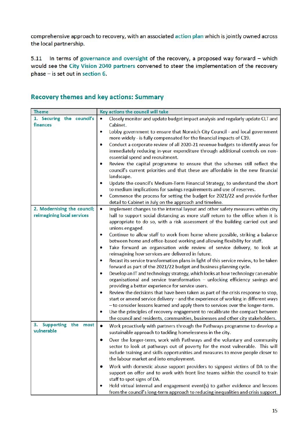comprehensive approach to recovery, with an associated action plan which is jointly owned across the local partnership.

5.11 In terms of governance and oversight of the recovery, a proposed way forward - which would see the City Vision 2040 partners convened to steer the implementation of the recovery  $phase - is set out in section 6.$ 

# **Recovery themes and key actions: Summary**

| <b>Theme</b>                         | Key actions the council will take                                                                                                                                                                        |
|--------------------------------------|----------------------------------------------------------------------------------------------------------------------------------------------------------------------------------------------------------|
| 1. Securing the council's            | Closely monitor and update budget impact analysis and regularly update CLT and<br>$\bullet$                                                                                                              |
| finances                             | Cabinet.                                                                                                                                                                                                 |
|                                      | Lobby government to ensure that Norwich City Council - and local government<br>۰<br>more widely - is fully compensated for the financial impacts of C19.                                                 |
|                                      | Conduct a corporate review of all 2020-21 revenue budgets to identify areas for<br>۰<br>immediately reducing in-year expenditure through additional controls on non-<br>essential spend and recruitment. |
|                                      | Review the capital programme to ensure that the schemes still reflect the<br>council's current priorities and that these are affordable in the new financial<br>landscape.                               |
|                                      | Update the council's Medium-Term Financial Strategy, to understand the short<br>to medium implications for savings requirements and use of reserves.                                                     |
|                                      | Commence the process for setting the budget for 2021/22 and provide further<br>۰                                                                                                                         |
|                                      | detail to Cabinet in July on the approach and timeline.                                                                                                                                                  |
| 2. Modernising the council;          | Implement changes to the internal layout and other safety measures within city<br>$\bullet$                                                                                                              |
| reimagining local services           | hall to support social distancing as more staff return to the office when it is<br>appropriate to do so, with a risk assessment of the building carried out and<br>unions engaged.                       |
|                                      | Continue to allow staff to work from home where possible, striking a balance<br>۰<br>between home and office-based working and allowing flexibility for staff.                                           |
|                                      | Take forward an organisation wide review of service delivery, to look at<br>۰<br>reimagining how services are delivered in future.                                                                       |
|                                      | Recast its service transformation plans in light of this service review, to be taken<br>۰                                                                                                                |
|                                      | forward as part of the 2021/22 budget and business planning cycle.<br>Develop an IT and technology strategy, which looks at how technology can enable<br>۰                                               |
|                                      | organisational and service transformation - unlocking efficiency savings and                                                                                                                             |
|                                      | providing a better experience for service users.                                                                                                                                                         |
|                                      | Review the decisions that have been taken as part of the crisis response to stop,<br>۰<br>start or amend service delivery - and the experience of working in different ways                              |
|                                      | - to consider lessons learned and apply them to services over the longer-term.                                                                                                                           |
|                                      | Use the principles of recovery engagement to recalibrate the compact between<br>۰                                                                                                                        |
|                                      | the council and residents, communities, businesses and other city stakeholders.                                                                                                                          |
| 3. Supporting the most<br>vulnerable | $\bullet$<br>Work proactively with partners through the Pathways programme to develop a<br>sustainable approach to tackling homelessness in the city.                                                    |
|                                      | Over the longer-term, work with Pathways and the voluntary and community                                                                                                                                 |
|                                      | sector to look at pathways out of poverty for the most vulnerable. This will                                                                                                                             |
|                                      | include training and skills opportunities and measures to move people closer to<br>the labour market and into employment.                                                                                |
|                                      | Work with domestic abuse support providers to signpost victims of DA to the<br>٠<br>support on offer and to work with front line teams within the council to train<br>staff to spot signs of DA.         |
|                                      | Hold virtual internal and engagement event(s) to gather evidence and lessons<br>from the council's long-term approach to reducing inequalities and crisis support.                                       |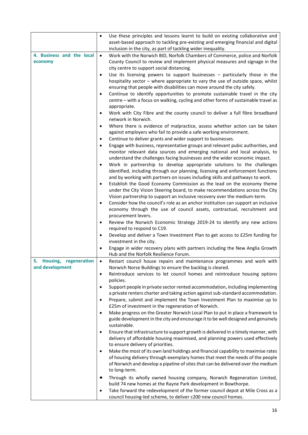|                                      | Use these principles and lessons learnt to build on existing collaborative and<br>$\bullet$<br>asset-based approach to tackling pre-existing and emerging financial and digital<br>inclusion in the city, as part of tackling wider inequality.                                                                               |
|--------------------------------------|-------------------------------------------------------------------------------------------------------------------------------------------------------------------------------------------------------------------------------------------------------------------------------------------------------------------------------|
| 4. Business and the local<br>economy | Work with the Norwich BID, Norfolk Chambers of Commerce, police and Norfolk<br>$\bullet$<br>County Council to review and implement physical measures and signage in the<br>city centre to support social distancing.                                                                                                          |
|                                      | Use its licensing powers to support businesses $-$ particularly those in the<br>٠<br>hospitality sector - where appropriate to vary the use of outside space, whilst<br>ensuring that people with disabilities can move around the city safely.                                                                               |
|                                      | Continue to identify opportunities to promote sustainable travel in the city<br>٠<br>centre - with a focus on walking, cycling and other forms of sustainable travel as<br>appropriate.                                                                                                                                       |
|                                      | Work with City Fibre and the county council to deliver a full fibre broadband<br>٠<br>network in Norwich.                                                                                                                                                                                                                     |
|                                      | Where there is evidence of malpractice, assess whether action can be taken<br>٠<br>against employers who fail to provide a safe working environment.<br>Continue to deliver grants and wider support to businesses.<br>٠                                                                                                      |
|                                      | Engage with business, representative groups and relevant pubic authorities, and<br>$\bullet$                                                                                                                                                                                                                                  |
|                                      | monitor relevant data sources and emerging national and local analysis, to                                                                                                                                                                                                                                                    |
|                                      | understand the challenges facing businesses and the wider economic impact.<br>Work in partnership to develop appropriate solutions to the challenges<br>٠<br>identified, including through our planning, licensing and enforcement functions<br>and by working with partners on issues including skills and pathways to work. |
|                                      | Establish the Good Economy Commission as the lead on the economy theme<br>٠<br>under the City Vision Steering board, to make recommendations across the City<br>Vision partnership to support an inclusive recovery over the medium-term.                                                                                     |
|                                      | Consider how the council's role as an anchor institution can support an inclusive<br>$\bullet$<br>economy through the use of council assets, contractual, recruitment and<br>procurement levers.                                                                                                                              |
|                                      | Review the Norwich Economic Strategy 2019-24 to identify any new actions<br>٠<br>required to respond to C19.                                                                                                                                                                                                                  |
|                                      | Develop and deliver a Town Investment Plan to get access to £25m funding for<br>٠<br>investment in the city.                                                                                                                                                                                                                  |
|                                      | Engage in wider recovery plans with partners including the New Anglia Growth<br>Hub and the Norfolk Resilience Forum.                                                                                                                                                                                                         |
| 5.<br>Housing,<br>regeneration       | Restart council house repairs and maintenance programmes and work with<br>$\bullet$                                                                                                                                                                                                                                           |
| and development                      | Norwich Norse Buildings to ensure the backlog is cleared.                                                                                                                                                                                                                                                                     |
|                                      | Reintroduce services to let council homes and reintroduce housing options<br>٠<br>policies.                                                                                                                                                                                                                                   |
|                                      | Support people in private sector rented accommodation, including implementing<br>٠<br>a private renters charter and taking action against sub-standard accommodation.                                                                                                                                                         |
|                                      | Prepare, submit and implement the Town Investment Plan to maximise up to<br>٠<br>£25m of investment in the regeneration of Norwich.                                                                                                                                                                                           |
|                                      | Make progress on the Greater Norwich Local Plan to put in place a framework to<br>٠<br>guide development in the city and encourage it to be well designed and genuinely                                                                                                                                                       |
|                                      | sustainable.                                                                                                                                                                                                                                                                                                                  |
|                                      | Ensure that infrastructure to support growth is delivered in a timely manner, with<br>٠<br>delivery of affordable housing maximised, and planning powers used effectively<br>to ensure delivery of priorities.                                                                                                                |
|                                      | Make the most of its own land holdings and financial capability to maximise rates<br>٠                                                                                                                                                                                                                                        |
|                                      | of housing delivery through exemplary homes that meet the needs of the people<br>of Norwich and develop a pipeline of sites that can be delivered over the medium<br>to long-term.                                                                                                                                            |
|                                      | Through its wholly owned housing company, Norwich Regeneration Limited,<br>build 74 new homes at the Rayne Park development in Bowthorpe.                                                                                                                                                                                     |
|                                      | Take forward the redevelopment of the former council depot at Mile Cross as a<br>٠<br>council housing-led scheme, to deliver c200 new council homes.                                                                                                                                                                          |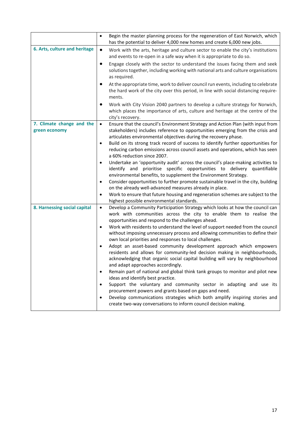|                                            | Begin the master planning process for the regeneration of East Norwich, which<br>$\bullet$<br>has the potential to deliver 4,000 new homes and create 6,000 new jobs.                                                                                                                                                                                                                                                                                                                                                                                                                                                                                                                                                                                                                                                                                                                                                                                                                                                                                                                                                                                                 |
|--------------------------------------------|-----------------------------------------------------------------------------------------------------------------------------------------------------------------------------------------------------------------------------------------------------------------------------------------------------------------------------------------------------------------------------------------------------------------------------------------------------------------------------------------------------------------------------------------------------------------------------------------------------------------------------------------------------------------------------------------------------------------------------------------------------------------------------------------------------------------------------------------------------------------------------------------------------------------------------------------------------------------------------------------------------------------------------------------------------------------------------------------------------------------------------------------------------------------------|
| 6. Arts, culture and heritage              | $\bullet$<br>Work with the arts, heritage and culture sector to enable the city's institutions<br>and events to re-open in a safe way when it is appropriate to do so.                                                                                                                                                                                                                                                                                                                                                                                                                                                                                                                                                                                                                                                                                                                                                                                                                                                                                                                                                                                                |
|                                            | Engage closely with the sector to understand the issues facing them and seek<br>٠<br>solutions together, including working with national arts and culture organisations<br>as required.                                                                                                                                                                                                                                                                                                                                                                                                                                                                                                                                                                                                                                                                                                                                                                                                                                                                                                                                                                               |
|                                            | At the appropriate time, work to deliver council run events, including to celebrate<br>$\bullet$<br>the hard work of the city over this period, in line with social distancing require-<br>ments.                                                                                                                                                                                                                                                                                                                                                                                                                                                                                                                                                                                                                                                                                                                                                                                                                                                                                                                                                                     |
|                                            | Work with City Vision 2040 partners to develop a culture strategy for Norwich,<br>٠<br>which places the importance of arts, culture and heritage at the centre of the<br>city's recovery.                                                                                                                                                                                                                                                                                                                                                                                                                                                                                                                                                                                                                                                                                                                                                                                                                                                                                                                                                                             |
| 7. Climate change and the<br>green economy | $\bullet$<br>Ensure that the council's Environment Strategy and Action Plan (with input from<br>stakeholders) includes reference to opportunities emerging from the crisis and<br>articulates environmental objectives during the recovery phase.<br>Build on its strong track record of success to identify further opportunities for<br>٠<br>reducing carbon emissions across council assets and operations, which has seen                                                                                                                                                                                                                                                                                                                                                                                                                                                                                                                                                                                                                                                                                                                                         |
|                                            | a 60% reduction since 2007.<br>Undertake an 'opportunity audit' across the council's place-making activities to<br>٠<br>prioritise specific opportunities to delivery quantifiable<br>identify and<br>environmental benefits, to supplement the Environment Strategy.<br>Consider opportunities to further promote sustainable travel in the city, building<br>$\bullet$<br>on the already well-advanced measures already in place.                                                                                                                                                                                                                                                                                                                                                                                                                                                                                                                                                                                                                                                                                                                                   |
|                                            | Work to ensure that future housing and regeneration schemes are subject to the<br>٠<br>highest possible environmental standards.                                                                                                                                                                                                                                                                                                                                                                                                                                                                                                                                                                                                                                                                                                                                                                                                                                                                                                                                                                                                                                      |
| 8. Harnessing social capital               | Develop a Community Participation Strategy which looks at how the council can<br>$\bullet$<br>work with communities across the city to enable them to realise the<br>opportunities and respond to the challenges ahead.<br>Work with residents to understand the level of support needed from the council<br>٠<br>without imposing unnecessary process and allowing communities to define their<br>own local priorities and responses to local challenges.<br>Adopt an asset-based community development approach which empowers<br>٠<br>residents and allows for community-led decision making in neighbourhoods,<br>acknowledging that organic social capital building will vary by neighbourhood<br>and adapt approaches accordingly.<br>Remain part of national and global think tank groups to monitor and pilot new<br>$\bullet$<br>ideas and identify best practice.<br>Support the voluntary and community sector in adapting and use its<br>٠<br>procurement powers and grants based on gaps and need.<br>Develop communications strategies which both amplify inspiring stories and<br>٠<br>create two-way conversations to inform council decision making. |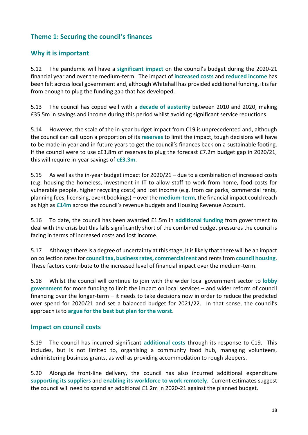# **Theme 1: Securing the council's finances**

### **Why it is important**

5.12 The pandemic will have a **significant impact** on the council's budget during the 2020-21 financial year and over the medium-term. The impact of **increased costs** and **reduced income** has been felt across local government and, although Whitehall has provided additional funding, it is far from enough to plug the funding gap that has developed.

5.13 The council has coped well with a **decade of austerity** between 2010 and 2020, making £35.5m in savings and income during this period whilst avoiding significant service reductions.

5.14 However, the scale of the in-year budget impact from C19 is unprecedented and, although the council can call upon a proportion of its **reserves** to limit the impact, tough decisions will have to be made in year and in future years to get the council's finances back on a sustainable footing. If the council were to use c£3.8m of reserves to plug the forecast £7.2m budget gap in 2020/21, this will require in-year savings of **c£3.3m**.

5.15 As well as the in-year budget impact for 2020/21 – due to a combination of increased costs (e.g. housing the homeless, investment in IT to allow staff to work from home, food costs for vulnerable people, higher recycling costs) and lost income (e.g. from car parks, commercial rents, planning fees, licensing, event bookings) – over the **medium-term**, the financial impact could reach as high as **£14m** across the council's revenue budgets and Housing Revenue Account.

5.16 To date, the council has been awarded £1.5m in **additional funding** from government to deal with the crisis but this falls significantly short of the combined budget pressures the council is facing in terms of increased costs and lost income.

5.17 Although there is a degree of uncertainty at this stage, it is likely that there will be an impact on collection rates for **council tax, business rates, commercial rent** and rents from **council housing**. These factors contribute to the increased level of financial impact over the medium-term.

5.18 Whilst the council will continue to join with the wider local government sector to **lobby government** for more funding to limit the impact on local services – and wider reform of council financing over the longer-term – it needs to take decisions now in order to reduce the predicted over spend for 2020/21 and set a balanced budget for 2021/22. In that sense, the council's approach is to **argue for the best but plan for the worst**.

#### **Impact on council costs**

5.19 The council has incurred significant **additional costs** through its response to C19. This includes, but is not limited to, organising a community food hub, managing volunteers, administering business grants, as well as providing accommodation to rough sleepers.

5.20 Alongside front-line delivery, the council has also incurred additional expenditure **supporting its suppliers** and **enabling its workforce to work remotely**. Current estimates suggest the council will need to spend an additional £1.2m in 2020-21 against the planned budget.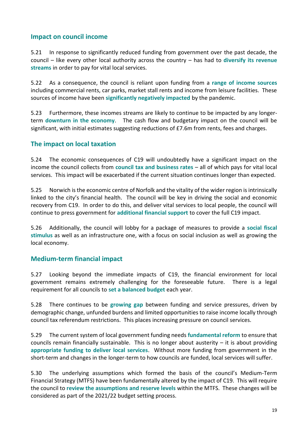#### **Impact on council income**

5.21 In response to significantly reduced funding from government over the past decade, the council – like every other local authority across the country – has had to **diversify its revenue streams** in order to pay for vital local services.

5.22 As a consequence, the council is reliant upon funding from a **range of income sources** including commercial rents, car parks, market stall rents and income from leisure facilities. These sources of income have been **significantly negatively impacted** by the pandemic.

5.23 Furthermore, these incomes streams are likely to continue to be impacted by any longerterm **downturn in the economy**. The cash flow and budgetary impact on the council will be significant, with initial estimates suggesting reductions of £7.6m from rents, fees and charges.

#### **The impact on local taxation**

5.24 The economic consequences of C19 will undoubtedly have a significant impact on the income the council collects from **council tax and business rates** – all of which pays for vital local services. This impact will be exacerbated if the current situation continues longer than expected.

5.25 Norwich is the economic centre of Norfolk and the vitality of the wider region is intrinsically linked to the city's financial health. The council will be key in driving the social and economic recovery from C19. In order to do this, and deliver vital services to local people, the council will continue to press government for **additional financial support** to cover the full C19 impact.

5.26 Additionally, the council will lobby for a package of measures to provide a **social fiscal stimulus** as well as an infrastructure one, with a focus on social inclusion as well as growing the local economy.

### **Medium-term financial impact**

5.27 Looking beyond the immediate impacts of C19, the financial environment for local government remains extremely challenging for the foreseeable future. There is a legal requirement for all councils to **set a balanced budget** each year.

5.28 There continues to be **growing gap** between funding and service pressures, driven by demographic change, unfunded burdens and limited opportunities to raise income locally through council tax referendum restrictions. This places increasing pressure on council services.

5.29 The current system of local government funding needs **fundamental reform** to ensure that councils remain financially sustainable. This is no longer about austerity  $-$  it is about providing **appropriate funding to deliver local services**. Without more funding from government in the short-term and changes in the longer-term to how councils are funded, local services will suffer.

5.30 The underlying assumptions which formed the basis of the council's Medium-Term Financial Strategy (MTFS) have been fundamentally altered by the impact of C19. This will require the council to **review the assumptions and reserve levels** within the MTFS. These changes will be considered as part of the 2021/22 budget setting process.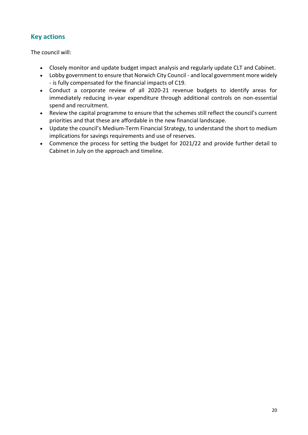# **Key actions**

- Closely monitor and update budget impact analysis and regularly update CLT and Cabinet.
- Lobby government to ensure that Norwich City Council and local government more widely - is fully compensated for the financial impacts of C19.
- Conduct a corporate review of all 2020-21 revenue budgets to identify areas for immediately reducing in-year expenditure through additional controls on non-essential spend and recruitment.
- Review the capital programme to ensure that the schemes still reflect the council's current priorities and that these are affordable in the new financial landscape.
- Update the council's Medium-Term Financial Strategy, to understand the short to medium implications for savings requirements and use of reserves.
- Commence the process for setting the budget for 2021/22 and provide further detail to Cabinet in July on the approach and timeline.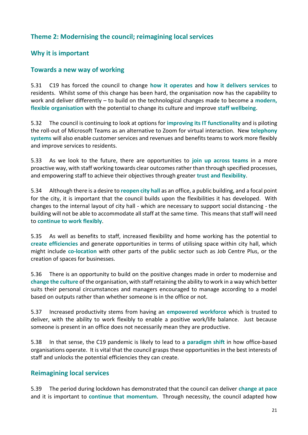# **Theme 2: Modernising the council; reimagining local services**

# **Why it is important**

#### **Towards a new way of working**

5.31 C19 has forced the council to change **how it operates** and **how it delivers services** to residents. Whilst some of this change has been hard, the organisation now has the capability to work and deliver differently – to build on the technological changes made to become a **modern, flexible organisation** with the potential to change its culture and improve **staff wellbeing**.

5.32 The council is continuing to look at options for **improving its IT functionality** and is piloting the roll-out of Microsoft Teams as an alternative to Zoom for virtual interaction. New **telephony systems** will also enable customer services and revenues and benefits teams to work more flexibly and improve services to residents.

5.33 As we look to the future, there are opportunities to **join up across teams** in a more proactive way, with staff working towards clear outcomes rather than through specified processes, and empowering staff to achieve their objectives through greater **trust and flexibility**.

5.34 Although there is a desire to **reopen city hall** as an office, a public building, and a focal point for the city, it is important that the council builds upon the flexibilities it has developed. With changes to the internal layout of city hall - which are necessary to support social distancing - the building will not be able to accommodate all staff at the same time. This means that staff will need to **continue to work flexibly**.

5.35 As well as benefits to staff, increased flexibility and home working has the potential to **create efficiencies** and generate opportunities in terms of utilising space within city hall, which might include **co-location** with other parts of the public sector such as Job Centre Plus, or the creation of spaces for businesses.

5.36 There is an opportunity to build on the positive changes made in order to modernise and **change the culture** of the organisation, with staff retaining the ability to work in a way which better suits their personal circumstances and managers encouraged to manage according to a model based on outputs rather than whether someone is in the office or not.

5.37 Increased productivity stems from having an **empowered workforce** which is trusted to deliver, with the ability to work flexibly to enable a positive work/life balance. Just because someone is present in an office does not necessarily mean they are productive.

5.38 In that sense, the C19 pandemic is likely to lead to a **paradigm shift** in how office-based organisations operate. It is vital that the council grasps these opportunities in the best interests of staff and unlocks the potential efficiencies they can create.

### **Reimagining local services**

5.39 The period during lockdown has demonstrated that the council can deliver **change at pace** and it is important to **continue that momentum**. Through necessity, the council adapted how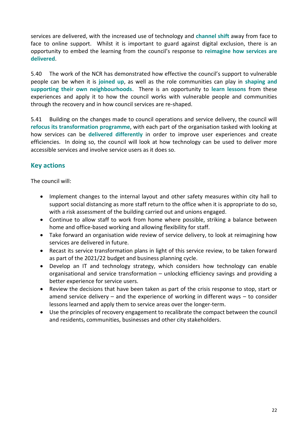services are delivered, with the increased use of technology and **channel shift** away from face to face to online support. Whilst it is important to guard against digital exclusion, there is an opportunity to embed the learning from the council's response to **reimagine how services are delivered**.

5.40 The work of the NCR has demonstrated how effective the council's support to vulnerable people can be when it is **joined up**, as well as the role communities can play in **shaping and supporting their own neighbourhoods**. There is an opportunity to **learn lessons** from these experiences and apply it to how the council works with vulnerable people and communities through the recovery and in how council services are re-shaped.

5.41 Building on the changes made to council operations and service delivery, the council will **refocus its transformation programme**, with each part of the organisation tasked with looking at how services can be **delivered differently** in order to improve user experiences and create efficiencies. In doing so, the council will look at how technology can be used to deliver more accessible services and involve service users as it does so.

# **Key actions**

- Implement changes to the internal layout and other safety measures within city hall to support social distancing as more staff return to the office when it is appropriate to do so, with a risk assessment of the building carried out and unions engaged.
- Continue to allow staff to work from home where possible, striking a balance between home and office-based working and allowing flexibility for staff.
- Take forward an organisation wide review of service delivery, to look at reimagining how services are delivered in future.
- Recast its service transformation plans in light of this service review, to be taken forward as part of the 2021/22 budget and business planning cycle.
- Develop an IT and technology strategy, which considers how technology can enable organisational and service transformation – unlocking efficiency savings and providing a better experience for service users.
- Review the decisions that have been taken as part of the crisis response to stop, start or amend service delivery – and the experience of working in different ways – to consider lessons learned and apply them to service areas over the longer-term.
- Use the principles of recovery engagement to recalibrate the compact between the council and residents, communities, businesses and other city stakeholders.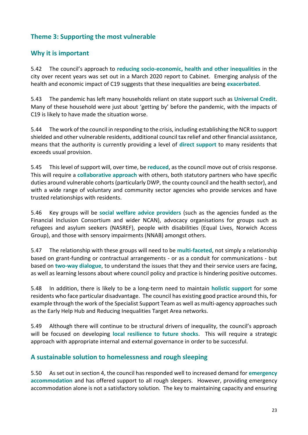# **Theme 3: Supporting the most vulnerable**

# **Why it is important**

5.42 The council's approach to **reducing socio-economic, health and other inequalities** in the city over recent years was set out in a March 2020 report to Cabinet. Emerging analysis of the health and economic impact of C19 suggests that these inequalities are being **exacerbated**.

5.43 The pandemic has left many households reliant on state support such as **Universal Credit**. Many of these household were just about 'getting by' before the pandemic, with the impacts of C19 is likely to have made the situation worse.

5.44 The work of the council in responding to the crisis, including establishing the NCR to support shielded and other vulnerable residents, additional council tax relief and other financial assistance, means that the authority is currently providing a level of **direct support** to many residents that exceeds usual provision.

5.45 This level of support will, over time, be **reduced**, as the council move out of crisis response. This will require a **collaborative approach** with others, both statutory partners who have specific duties around vulnerable cohorts (particularly DWP, the county council and the health sector), and with a wide range of voluntary and community sector agencies who provide services and have trusted relationships with residents.

5.46 Key groups will be **social welfare advice providers** (such as the agencies funded as the Financial Inclusion Consortium and wider NCAN), advocacy organisations for groups such as refugees and asylum seekers (NASREF), people with disabilities (Equal Lives, Norwich Access Group), and those with sensory impairments (NNAB) amongst others.

5.47 The relationship with these groups will need to be **multi-faceted**, not simply a relationship based on grant-funding or contractual arrangements - or as a conduit for communications - but based on **two-way dialogue**, to understand the issues that they and their service users are facing, as well as learning lessons about where council policy and practice is hindering positive outcomes.

5.48 In addition, there is likely to be a long-term need to maintain **holistic support** for some residents who face particular disadvantage. The council has existing good practice around this, for example through the work of the Specialist Support Team as well as multi-agency approaches such as the Early Help Hub and Reducing Inequalities Target Area networks.

5.49 Although there will continue to be structural drivers of inequality, the council's approach will be focused on developing **local resilience to future shocks**. This will require a strategic approach with appropriate internal and external governance in order to be successful.

### **A sustainable solution to homelessness and rough sleeping**

5.50 As set out in section 4, the council has responded well to increased demand for **emergency accommodation** and has offered support to all rough sleepers. However, providing emergency accommodation alone is not a satisfactory solution. The key to maintaining capacity and ensuring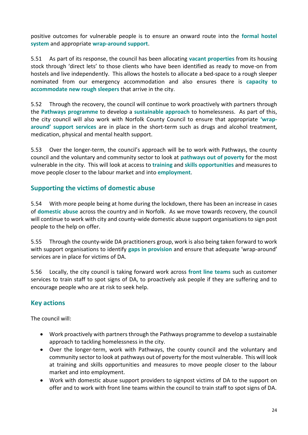positive outcomes for vulnerable people is to ensure an onward route into the **formal hostel system** and appropriate **wrap-around support**.

5.51 As part of its response, the council has been allocating **vacant properties** from its housing stock through 'direct lets' to those clients who have been identified as ready to move-on from hostels and live independently. This allows the hostels to allocate a bed-space to a rough sleeper nominated from our emergency accommodation and also ensures there is **capacity to accommodate new rough sleepers** that arrive in the city.

5.52 Through the recovery, the council will continue to work proactively with partners through the **Pathways programme** to develop a **sustainable approach** to homelessness. As part of this, the city council will also work with Norfolk County Council to ensure that appropriate **'wraparound' support services** are in place in the short-term such as drugs and alcohol treatment, medication, physical and mental health support.

5.53 Over the longer-term, the council's approach will be to work with Pathways, the county council and the voluntary and community sector to look at **pathways out of poverty** for the most vulnerable in the city. This will look at access to **training** and **skills opportunities** and measures to move people closer to the labour market and into **employment**.

### **Supporting the victims of domestic abuse**

5.54 With more people being at home during the lockdown, there has been an increase in cases of **domestic abuse** across the country and in Norfolk. As we move towards recovery, the council will continue to work with city and county-wide domestic abuse support organisations to sign post people to the help on offer.

5.55 Through the county-wide DA practitioners group, work is also being taken forward to work with support organisations to identify **gaps in provision** and ensure that adequate 'wrap-around' services are in place for victims of DA.

5.56 Locally, the city council is taking forward work across **front line teams** such as customer services to train staff to spot signs of DA, to proactively ask people if they are suffering and to encourage people who are at risk to seek help.

### **Key actions**

- Work proactively with partners through the Pathways programme to develop a sustainable approach to tackling homelessness in the city.
- Over the longer-term, work with Pathways, the county council and the voluntary and community sector to look at pathways out of poverty for the most vulnerable. This will look at training and skills opportunities and measures to move people closer to the labour market and into employment.
- Work with domestic abuse support providers to signpost victims of DA to the support on offer and to work with front line teams within the council to train staff to spot signs of DA.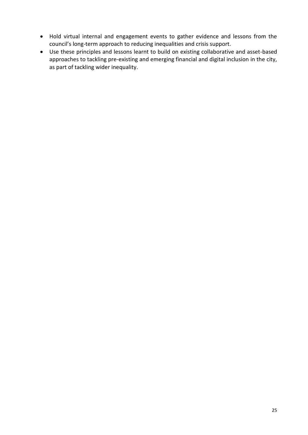- Hold virtual internal and engagement events to gather evidence and lessons from the council's long-term approach to reducing inequalities and crisis support.
- Use these principles and lessons learnt to build on existing collaborative and asset-based approaches to tackling pre-existing and emerging financial and digital inclusion in the city, as part of tackling wider inequality.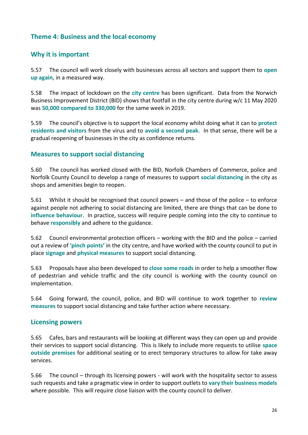#### **Theme 4: Business and the local economy**

#### **Why it is important**

5.57 The council will work closely with businesses across all sectors and support them to **open up again**, in a measured way.

5.58 The impact of lockdown on the **city centre** has been significant. Data from the Norwich Business Improvement District (BID) shows that footfall in the city centre during w/c 11 May 2020 was **50,000 compared to 330,000** for the same week in 2019.

5.59 The council's objective is to support the local economy whilst doing what it can to **protect residents and visitors** from the virus and to **avoid a second peak**. In that sense, there will be a gradual reopening of businesses in the city as confidence returns.

#### **Measures to support social distancing**

5.60 The council has worked closed with the BID, Norfolk Chambers of Commerce, police and Norfolk County Council to develop a range of measures to support **social distancing** in the city as shops and amenities begin to reopen.

5.61 Whilst it should be recognised that council powers – and those of the police – to enforce against people not adhering to social distancing are limited, there are things that can be done to **influence behaviour**. In practice, success will require people coming into the city to continue to behave **responsibly** and adhere to the guidance.

5.62 Council environmental protection officers – working with the BID and the police – carried out a review of **'pinch points'** in the city centre, and have worked with the county council to put in place **signage** and **physical measures** to support social distancing.

5.63 Proposals have also been developed to **close some roads** in order to help a smoother flow of pedestrian and vehicle traffic and the city council is working with the county council on implementation.

5.64 Going forward, the council, police, and BID will continue to work together to **review measures** to support social distancing and take further action where necessary.

#### **Licensing powers**

5.65 Cafes, bars and restaurants will be looking at different ways they can open up and provide their services to support social distancing. This is likely to include more requests to utilise **space outside premises** for additional seating or to erect temporary structures to allow for take away services.

5.66 The council – through its licensing powers - will work with the hospitality sector to assess such requests and take a pragmatic view in order to support outlets to **vary their business models** where possible. This will require close liaison with the county council to deliver.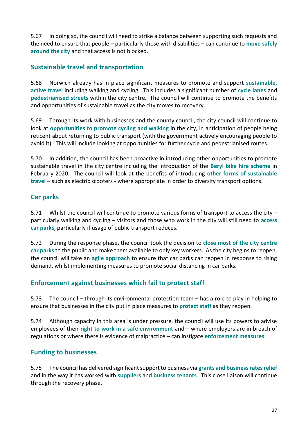5.67 In doing so, the council will need to strike a balance between supporting such requests and the need to ensure that people – particularly those with disabilities – can continue to **move safely around the city** and that access is not blocked.

# **Sustainable travel and transportation**

5.68 Norwich already has in place significant measures to promote and support **sustainable, active travel** including walking and cycling. This includes a significant number of **cycle lanes** and **pedestrianised streets** within the city centre. The council will continue to promote the benefits and opportunities of sustainable travel as the city moves to recovery.

5.69 Through its work with businesses and the county council, the city council will continue to look at **opportunities to promote cycling and walking** in the city, in anticipation of people being reticent about returning to public transport (with the government actively encouraging people to avoid it). This will include looking at opportunities for further cycle and pedestrianised routes.

5.70 In addition, the council has been proactive in introducing other opportunities to promote sustainable travel in the city centre including the introduction of the **Beryl bike hire scheme** in February 2020. The council will look at the benefits of introducing **other forms of sustainable travel** – such as electric scooters - where appropriate in order to diversify transport options.

### **Car parks**

5.71 Whilst the council will continue to promote various forms of transport to access the city – particularly walking and cycling – visitors and those who work in the city will still need to **access car parks**, particularly if usage of public transport reduces.

5.72 During the response phase, the council took the decision to **close most of the city centre car parks** to the public and make them available to only key workers. As the city begins to reopen, the council will take an **agile approach** to ensure that car parks can reopen in response to rising demand, whilst implementing measures to promote social distancing in car parks.

### **Enforcement against businesses which fail to protect staff**

5.73 The council – through its environmental protection team – has a role to play in helping to ensure that businesses in the city put in place measures to **protect staff** as they reopen.

5.74 Although capacity in this area is under pressure, the council will use its powers to advise employees of their **right to work in a safe environment** and – where employers are in breach of regulations or where there is evidence of malpractice – can instigate **enforcement measures**.

### **Funding to businesses**

5.75 The council has delivered significant support to business via **grants and business rates relief** and in the way it has worked with **suppliers** and **business tenants**. This close liaison will continue through the recovery phase.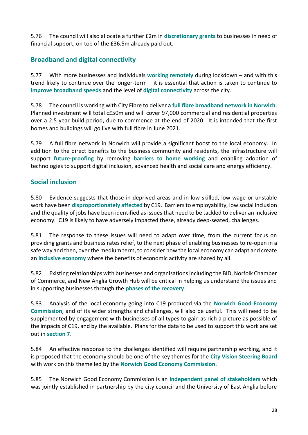5.76 The council will also allocate a further £2m in **discretionary grants** to businesses in need of financial support, on top of the £36.5m already paid out.

# **Broadband and digital connectivity**

5.77 With more businesses and individuals **working remotely** during lockdown – and with this trend likely to continue over the longer-term – it is essential that action is taken to continue to **improve broadband speeds** and the level of **digital connectivity** across the city.

5.78 The council is working with City Fibre to deliver a **full fibre broadband network in Norwich**. Planned investment will total c£50m and will cover 97,000 commercial and residential properties over a 2.5 year build period, due to commence at the end of 2020. It is intended that the first homes and buildings will go live with full fibre in June 2021.

5.79 A full fibre network in Norwich will provide a significant boost to the local economy. In addition to the direct benefits to the business community and residents, the infrastructure will support **future-proofing** by removing **barriers to home working** and enabling adoption of technologies to support digital inclusion, advanced health and social care and energy efficiency.

#### **Social inclusion**

5.80 Evidence suggests that those in deprived areas and in low skilled, low wage or unstable work have been **disproportionately affected** by C19. Barriers to employability, low social inclusion and the quality of jobs have been identified as issues that need to be tackled to deliver an inclusive economy. C19 is likely to have adversely impacted these, already deep-seated, challenges.

5.81 The response to these issues will need to adapt over time, from the current focus on providing grants and business rates relief, to the next phase of enabling businesses to re-open in a safe way and then, over the medium term, to consider how the local economy can adapt and create an **inclusive economy** where the benefits of economic activity are shared by all.

5.82 Existing relationships with businesses and organisations including the BID, Norfolk Chamber of Commerce, and New Anglia Growth Hub will be critical in helping us understand the issues and in supporting businesses through the **phases of the recovery**.

5.83 Analysis of the local economy going into C19 produced via the **Norwich Good Economy Commission**, and of its wider strengths and challenges, will also be useful. This will need to be supplemented by engagement with businesses of all types to gain as rich a picture as possible of the impacts of C19, and by the available. Plans for the data to be used to support this work are set out in **section 7**.

5.84 An effective response to the challenges identified will require partnership working, and it is proposed that the economy should be one of the key themes for the **City Vision Steering Board** with work on this theme led by the **Norwich Good Economy Commission**.

5.85 The Norwich Good Economy Commission is an **independent panel of stakeholders** which was jointly established in partnership by the city council and the University of East Anglia before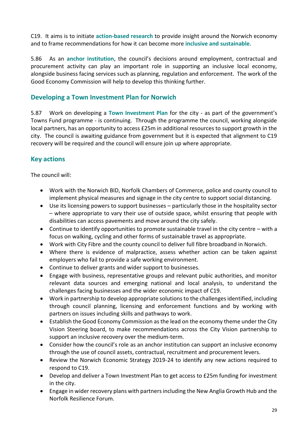C19. It aims is to initiate **action-based research** to provide insight around the Norwich economy and to frame recommendations for how it can become more **inclusive and sustainable**.

5.86 As an **anchor institution**, the council's decisions around employment, contractual and procurement activity can play an important role in supporting an inclusive local economy, alongside business facing services such as planning, regulation and enforcement. The work of the Good Economy Commission will help to develop this thinking further.

# **Developing a Town Investment Plan for Norwich**

5.87 Work on developing a **Town Investment Plan** for the city - as part of the government's Towns Fund programme - is continuing. Through the programme the council, working alongside local partners, has an opportunity to access £25m in additional resources to support growth in the city. The council is awaiting guidance from government but it is expected that alignment to C19 recovery will be required and the council will ensure join up where appropriate.

# **Key actions**

- Work with the Norwich BID, Norfolk Chambers of Commerce, police and county council to implement physical measures and signage in the city centre to support social distancing.
- Use its licensing powers to support businesses particularly those in the hospitality sector – where appropriate to vary their use of outside space, whilst ensuring that people with disabilities can access pavements and move around the city safely.
- Continue to identify opportunities to promote sustainable travel in the city centre with a focus on walking, cycling and other forms of sustainable travel as appropriate.
- Work with City Fibre and the county council to deliver full fibre broadband in Norwich.
- Where there is evidence of malpractice, assess whether action can be taken against employers who fail to provide a safe working environment.
- Continue to deliver grants and wider support to businesses.
- Engage with business, representative groups and relevant pubic authorities, and monitor relevant data sources and emerging national and local analysis, to understand the challenges facing businesses and the wider economic impact of C19.
- Work in partnership to develop appropriate solutions to the challenges identified, including through council planning, licensing and enforcement functions and by working with partners on issues including skills and pathways to work.
- Establish the Good Economy Commission as the lead on the economy theme under the City Vision Steering board, to make recommendations across the City Vision partnership to support an inclusive recovery over the medium-term.
- Consider how the council's role as an anchor institution can support an inclusive economy through the use of council assets, contractual, recruitment and procurement levers.
- Review the Norwich Economic Strategy 2019-24 to identify any new actions required to respond to C19.
- Develop and deliver a Town Investment Plan to get access to £25m funding for investment in the city.
- Engage in wider recovery plans with partners including the New Anglia Growth Hub and the Norfolk Resilience Forum.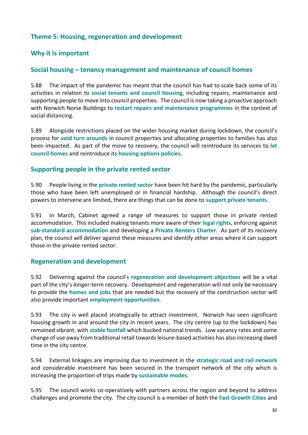#### **Theme 5: Housing, regeneration and development**

#### **Why it is important**

#### **Social housing – tenancy management and maintenance of council homes**

5.88 The impact of the pandemic has meant that the council has had to scale back some of its activities in relation to **social tenants and council housing**, including repairs, maintenance and supporting people to move into council properties. The council is now taking a proactive approach with Norwich Norse Buildings to **restart repairs and maintenance programmes** in the context of social distancing.

5.89 Alongside restrictions placed on the wider housing market during lockdown, the council's process for **void turn arounds** in council properties and allocating properties to families has also been impacted. As part of the move to recovery, the council will reintroduce its services to **let council homes** and reintroduce its **housing options policies**.

#### **Supporting people in the private rented sector**

5.90 People living in the **private rented sector** have been hit hard by the pandemic, particularly those who have been left unemployed or in financial hardship. Although the council's direct powers to intervene are limited, there are things that can be done to **support private tenants**.

5.91 In March, Cabinet agreed a range of measures to support those in private rented accommodation. This included making tenants more aware of their **legal rights**, enforcing against **sub-standard accommodation** and developing a **Private Renters Charter**. As part of its recovery plan, the council will deliver against these measures and identify other areas where it can support those in the private rented sector.

#### **Regeneration and development**

5.92 Delivering against the council's **regeneration and development objectives** will be a vital part of the city's longer-term recovery. Development and regeneration will not only be necessary to provide the **homes and jobs** that are needed but the recovery of the construction sector will also provide important **employment opportunities**.

5.93 The city is well placed strategically to attract investment. Norwich has seen significant housing growth in and around the city in recent years. The city centre (up to the lockdown) has remained vibrant, with **stable footfall** which bucked national trends. Low vacancy rates and some change of use away from traditional retail towards leisure-based activities has also increasing dwell time in the city centre.

5.94 External linkages are improving due to investment in the **strategic road and rail network** and considerable investment has been secured in the transport network of the city which is increasing the proportion of trips made by **sustainable modes**.

5.95 The council works co-operatively with partners across the region and beyond to address challenges and promote the city. The city council is a member of both the **Fast Growth Cities** and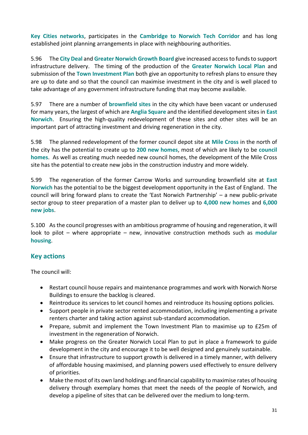**Key Cities networks**, participates in the **Cambridge to Norwich Tech Corridor** and has long established joint planning arrangements in place with neighbouring authorities.

5.96 The **City Deal** and **Greater Norwich Growth Board** give increased access to funds to support infrastructure delivery. The timing of the production of the **Greater Norwich Local Plan** and submission of the **Town Investment Plan** both give an opportunity to refresh plans to ensure they are up to date and so that the council can maximise investment in the city and is well placed to take advantage of any government infrastructure funding that may become available.

5.97 There are a number of **brownfield sites** in the city which have been vacant or underused for many years, the largest of which are **Anglia Square** and the identified development sites in **East Norwich**. Ensuring the high-quality redevelopment of these sites and other sites will be an important part of attracting investment and driving regeneration in the city.

5.98 The planned redevelopment of the former council depot site at **Mile Cross** in the north of the city has the potential to create up to **200 new homes**, most of which are likely to be **council homes**. As well as creating much needed new council homes, the development of the Mile Cross site has the potential to create new jobs in the construction industry and more widely.

5.99 The regeneration of the former Carrow Works and surrounding brownfield site at **East Norwich** has the potential to be the biggest development opportunity in the East of England. The council will bring forward plans to create the 'East Norwich Partnership' – a new public-private sector group to steer preparation of a master plan to deliver up to **4,000 new homes** and **6,000 new jobs**.

5.100 As the council progresses with an ambitious programme of housing and regeneration, it will look to pilot – where appropriate – new, innovative construction methods such as **modular housing**.

### **Key actions**

- Restart council house repairs and maintenance programmes and work with Norwich Norse Buildings to ensure the backlog is cleared.
- Reintroduce its services to let council homes and reintroduce its housing options policies.
- Support people in private sector rented accommodation, including implementing a private renters charter and taking action against sub-standard accommodation.
- Prepare, submit and implement the Town Investment Plan to maximise up to £25m of investment in the regeneration of Norwich.
- Make progress on the Greater Norwich Local Plan to put in place a framework to guide development in the city and encourage it to be well designed and genuinely sustainable.
- Ensure that infrastructure to support growth is delivered in a timely manner, with delivery of affordable housing maximised, and planning powers used effectively to ensure delivery of priorities.
- Make the most of its own land holdings and financial capability to maximise rates of housing delivery through exemplary homes that meet the needs of the people of Norwich, and develop a pipeline of sites that can be delivered over the medium to long-term.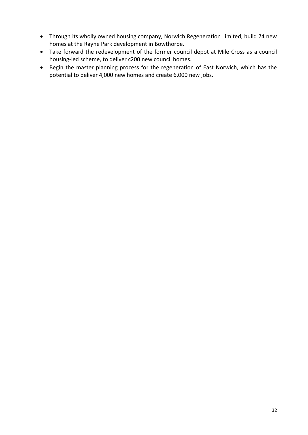- Through its wholly owned housing company, Norwich Regeneration Limited, build 74 new homes at the Rayne Park development in Bowthorpe.
- Take forward the redevelopment of the former council depot at Mile Cross as a council housing-led scheme, to deliver c200 new council homes.
- Begin the master planning process for the regeneration of East Norwich, which has the potential to deliver 4,000 new homes and create 6,000 new jobs.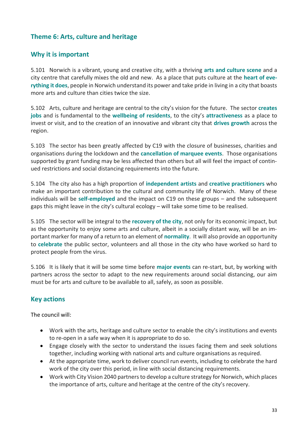# **Theme 6: Arts, culture and heritage**

# **Why it is important**

5.101 Norwich is a vibrant, young and creative city, with a thriving **arts and culture scene** and a city centre that carefully mixes the old and new. As a place that puts culture at the **heart of everything it does**, people in Norwich understand its power and take pride in living in a city that boasts more arts and culture than cities twice the size.

5.102 Arts, culture and heritage are central to the city's vision for the future. The sector **creates jobs** and is fundamental to the **wellbeing of residents**, to the city's **attractiveness** as a place to invest or visit, and to the creation of an innovative and vibrant city that **drives growth** across the region.

5.103 The sector has been greatly affected by C19 with the closure of businesses, charities and organisations during the lockdown and the **cancellation of marquee events**. Those organisations supported by grant funding may be less affected than others but all will feel the impact of continued restrictions and social distancing requirements into the future.

5.104 The city also has a high proportion of **independent artists** and **creative practitioners** who make an important contribution to the cultural and community life of Norwich. Many of these individuals will be **self-employed** and the impact on C19 on these groups – and the subsequent gaps this might leave in the city's cultural ecology – will take some time to be realised.

5.105 The sector will be integral to the **recovery of the city**, not only for its economic impact, but as the opportunity to enjoy some arts and culture, albeit in a socially distant way, will be an important marker for many of a return to an element of **normality**. It will also provide an opportunity to **celebrate** the public sector, volunteers and all those in the city who have worked so hard to protect people from the virus.

5.106 It is likely that it will be some time before **major events** can re-start, but, by working with partners across the sector to adapt to the new requirements around social distancing, our aim must be for arts and culture to be available to all, safely, as soon as possible.

# **Key actions**

- Work with the arts, heritage and culture sector to enable the city's institutions and events to re-open in a safe way when it is appropriate to do so.
- Engage closely with the sector to understand the issues facing them and seek solutions together, including working with national arts and culture organisations as required.
- At the appropriate time, work to deliver council run events, including to celebrate the hard work of the city over this period, in line with social distancing requirements.
- Work with City Vision 2040 partners to develop a culture strategy for Norwich, which places the importance of arts, culture and heritage at the centre of the city's recovery.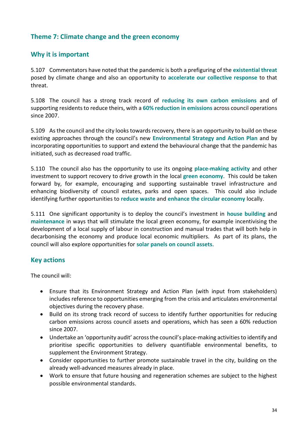### **Theme 7: Climate change and the green economy**

#### **Why it is important**

5.107 Commentators have noted that the pandemic is both a prefiguring of the **existential threat** posed by climate change and also an opportunity to **accelerate our collective response** to that threat.

5.108 The council has a strong track record of **reducing its own carbon emissions** and of supporting residents to reduce theirs, with a **60% reduction in emissions** across council operations since 2007.

5.109 As the council and the city looks towards recovery, there is an opportunity to build on these existing approaches through the council's new **Environmental Strategy and Action Plan** and by incorporating opportunities to support and extend the behavioural change that the pandemic has initiated, such as decreased road traffic.

5.110 The council also has the opportunity to use its ongoing **place-making activity** and other investment to support recovery to drive growth in the local **green economy**. This could be taken forward by, for example, encouraging and supporting sustainable travel infrastructure and enhancing biodiversity of council estates, parks and open spaces. This could also include identifying further opportunities to **reduce waste** and **enhance the circular economy** locally.

5.111 One significant opportunity is to deploy the council's investment in **house building** and **maintenance** in ways that will stimulate the local green economy, for example incentivising the development of a local supply of labour in construction and manual trades that will both help in decarbonising the economy and produce local economic multipliers. As part of its plans, the council will also explore opportunities for **solar panels on council assets**.

#### **Key actions**

- Ensure that its Environment Strategy and Action Plan (with input from stakeholders) includes reference to opportunities emerging from the crisis and articulates environmental objectives during the recovery phase.
- Build on its strong track record of success to identify further opportunities for reducing carbon emissions across council assets and operations, which has seen a 60% reduction since 2007.
- Undertake an 'opportunity audit' across the council's place-making activities to identify and prioritise specific opportunities to delivery quantifiable environmental benefits, to supplement the Environment Strategy.
- Consider opportunities to further promote sustainable travel in the city, building on the already well-advanced measures already in place.
- Work to ensure that future housing and regeneration schemes are subject to the highest possible environmental standards.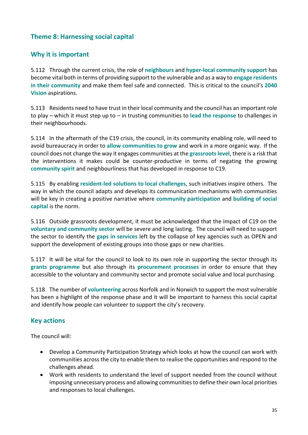# **Theme 8: Harnessing social capital**

# **Why it is important**

5.112 Through the current crisis, the role of **neighbours** and **hyper-local community support** has become vital both in terms of providing support to the vulnerable and as a way to **engage residents in their community** and make them feel safe and connected. This is critical to the council's **2040 Vision** aspirations.

5.113 Residents need to have trust in their local community and the council has an important role to play – which it must step up to – in trusting communities to **lead the response** to challenges in their neighbourhoods.

5.114 In the aftermath of the C19 crisis, the council, in its community enabling role, will need to avoid bureaucracy in order to **allow communities to grow** and work in a more organic way. If the council does not change the way it engages communities at the **grassroots level**, there is a risk that the interventions it makes could be counter-productive in terms of negating the growing **community spirit** and neighbourliness that has developed in response to C19.

5.115 By enabling **resident-led solutions to local challenges**, such initiatives inspire others. The way in which the council adapts and develops its communication mechanisms with communities will be key in creating a positive narrative where **community participation** and **building of social capital** is the norm.

5.116 Outside grassroots development, it must be acknowledged that the impact of C19 on the **voluntary and community sector** will be severe and long lasting. The council will need to support the sector to identify the **gaps in services** left by the collapse of key agencies such as OPEN and support the development of existing groups into those gaps or new charities.

5.117 It will be vital for the council to look to its own role in supporting the sector through its **grants programme** but also through its **procurement processes** in order to ensure that they accessible to the voluntary and community sector and promote social value and local purchasing.

5.118 The number of **volunteering** across Norfolk and in Norwich to support the most vulnerable has been a highlight of the response phase and it will be important to harness this social capital and identify how people can volunteer to support the city's recovery.

### **Key actions**

- Develop a Community Participation Strategy which looks at how the council can work with communities across the city to enable them to realise the opportunities and respond to the challenges ahead.
- Work with residents to understand the level of support needed from the council without imposing unnecessary process and allowing communities to define their own local priorities and responses to local challenges.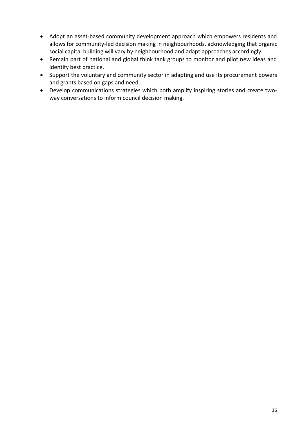- Adopt an asset-based community development approach which empowers residents and allows for community-led decision making in neighbourhoods, acknowledging that organic social capital building will vary by neighbourhood and adapt approaches accordingly.
- Remain part of national and global think tank groups to monitor and pilot new ideas and identify best practice.
- Support the voluntary and community sector in adapting and use its procurement powers and grants based on gaps and need.
- Develop communications strategies which both amplify inspiring stories and create twoway conversations to inform council decision making.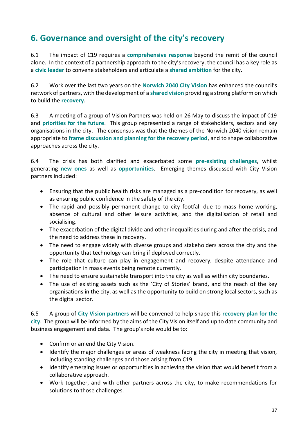# **6. Governance and oversight of the city's recovery**

6.1 The impact of C19 requires a **comprehensive response** beyond the remit of the council alone. In the context of a partnership approach to the city's recovery, the council has a key role as a **civic leader** to convene stakeholders and articulate a **shared ambition** for the city.

6.2 Work over the last two years on the **Norwich 2040 City Vision** has enhanced the council's network of partners, with the development of a **shared vision** providing a strong platform on which to build the **recovery***.* 

6.3 A meeting of a group of Vision Partners was held on 26 May to discuss the impact of C19 and **priorities for the future**. This group represented a range of stakeholders, sectors and key organisations in the city. The consensus was that the themes of the Norwich 2040 vision remain appropriate to **frame discussion and planning for the recovery period**, and to shape collaborative approaches across the city.

6.4 The crisis has both clarified and exacerbated some **pre-existing challenges**, whilst generating **new ones** as well as **opportunities**. Emerging themes discussed with City Vision partners included:

- Ensuring that the public health risks are managed as a pre-condition for recovery, as well as ensuring public confidence in the safety of the city.
- The rapid and possibly permanent change to city footfall due to mass home-working, absence of cultural and other leisure activities, and the digitalisation of retail and socialising.
- The exacerbation of the digital divide and other inequalities during and after the crisis, and the need to address these in recovery.
- The need to engage widely with diverse groups and stakeholders across the city and the opportunity that technology can bring if deployed correctly.
- The role that culture can play in engagement and recovery, despite attendance and participation in mass events being remote currently.
- The need to ensure sustainable transport into the city as well as within city boundaries.
- The use of existing assets such as the 'City of Stories' brand, and the reach of the key organisations in the city, as well as the opportunity to build on strong local sectors, such as the digital sector.

6.5 A group of **City Vision partners** will be convened to help shape this **recovery plan for the city**. The group will be informed by the aims of the City Vision itself and up to date community and business engagement and data. The group's role would be to:

- Confirm or amend the City Vision.
- Identify the major challenges or areas of weakness facing the city in meeting that vision, including standing challenges and those arising from C19.
- Identify emerging issues or opportunities in achieving the vision that would benefit from a collaborative approach.
- Work together, and with other partners across the city, to make recommendations for solutions to those challenges.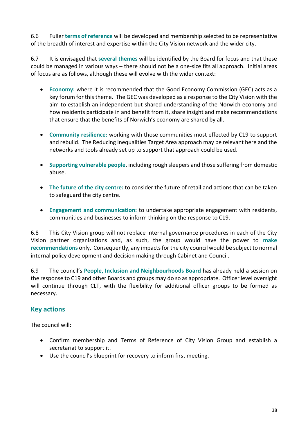6.6 Fuller **terms of reference** will be developed and membership selected to be representative of the breadth of interest and expertise within the City Vision network and the wider city.

6.7 It is envisaged that **several themes** will be identified by the Board for focus and that these could be managed in various ways – there should not be a one-size fits all approach. Initial areas of focus are as follows, although these will evolve with the wider context:

- **Economy:** where it is recommended that the Good Economy Commission (GEC) acts as a key forum for this theme. The GEC was developed as a response to the City Vision with the aim to establish an independent but shared understanding of the Norwich economy and how residents participate in and benefit from it, share insight and make recommendations that ensure that the benefits of Norwich's economy are shared by all.
- **Community resilience:** working with those communities most effected by C19 to support and rebuild. The Reducing Inequalities Target Area approach may be relevant here and the networks and tools already set up to support that approach could be used.
- **Supporting vulnerable people**, including rough sleepers and those suffering from domestic abuse.
- **The future of the city centre:** to consider the future of retail and actions that can be taken to safeguard the city centre.
- **Engagement and communication:** to undertake appropriate engagement with residents, communities and businesses to inform thinking on the response to C19.

6.8 This City Vision group will not replace internal governance procedures in each of the City Vision partner organisations and, as such, the group would have the power to **make recommendations** only. Consequently, any impacts for the city council would be subject to normal internal policy development and decision making through Cabinet and Council.

6.9 The council's **People, Inclusion and Neighbourhoods Board** has already held a session on the response to C19 and other Boards and groups may do so as appropriate. Officer level oversight will continue through CLT, with the flexibility for additional officer groups to be formed as necessary.

### **Key actions**

- Confirm membership and Terms of Reference of City Vision Group and establish a secretariat to support it.
- Use the council's blueprint for recovery to inform first meeting.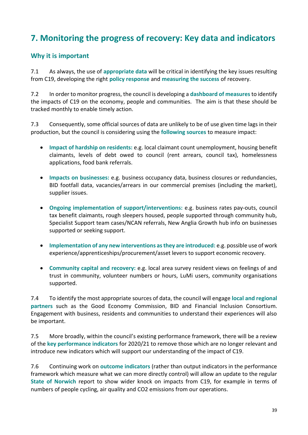# **7. Monitoring the progress of recovery: Key data and indicators**

### **Why it is important**

7.1 As always, the use of **appropriate data** will be critical in identifying the key issues resulting from C19, developing the right **policy response** and **measuring the success** of recovery.

7.2 In order to monitor progress, the council is developing a **dashboard of measures**to identify the impacts of C19 on the economy, people and communities. The aim is that these should be tracked monthly to enable timely action.

7.3 Consequently, some official sources of data are unlikely to be of use given time lags in their production, but the council is considering using the **following sources** to measure impact:

- **Impact of hardship on residents:** e.g. local claimant count unemployment, housing benefit claimants, levels of debt owed to council (rent arrears, council tax), homelessness applications, food bank referrals.
- **Impacts on businesses:** e.g. business occupancy data, business closures or redundancies, BID footfall data, vacancies/arrears in our commercial premises (including the market), supplier issues.
- **Ongoing implementation of support/interventions:** e.g. business rates pay-outs, council tax benefit claimants, rough sleepers housed, people supported through community hub, Specialist Support team cases/NCAN referrals, New Anglia Growth hub info on businesses supported or seeking support.
- **Implementation of any new interventions as they are introduced:** e.g. possible use of work experience/apprenticeships/procurement/asset levers to support economic recovery.
- **Community capital and recovery:** e.g. local area survey resident views on feelings of and trust in community, volunteer numbers or hours, LuMi users, community organisations supported.

7.4 To identify the most appropriate sources of data, the council will engage **local and regional partners** such as the Good Economy Commission, BID and Financial Inclusion Consortium. Engagement with business, residents and communities to understand their experiences will also be important.

7.5 More broadly, within the council's existing performance framework, there will be a review of the **key performance indicators** for 2020/21 to remove those which are no longer relevant and introduce new indicators which will support our understanding of the impact of C19.

7.6 Continuing work on **outcome indicators** (rather than output indicators in the performance framework which measure what we can more directly control) will allow an update to the regular **State of Norwich** report to show wider knock on impacts from C19, for example in terms of numbers of people cycling, air quality and CO2 emissions from our operations.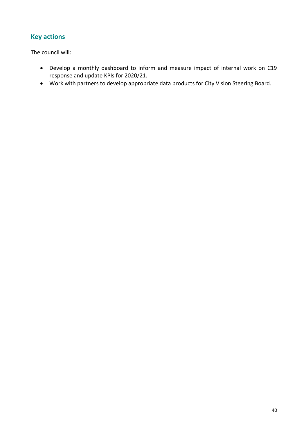# **Key actions**

- Develop a monthly dashboard to inform and measure impact of internal work on C19 response and update KPIs for 2020/21.
- Work with partners to develop appropriate data products for City Vision Steering Board.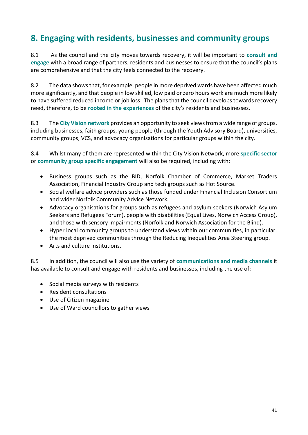# **8. Engaging with residents, businesses and community groups**

8.1 As the council and the city moves towards recovery, it will be important to **consult and engage** with a broad range of partners, residents and businesses to ensure that the council's plans are comprehensive and that the city feels connected to the recovery.

8.2 The data shows that, for example, people in more deprived wards have been affected much more significantly, and that people in low skilled, low paid or zero hours work are much more likely to have suffered reduced income or job loss. The plans that the council develops towards recovery need, therefore, to be **rooted in the experiences** of the city's residents and businesses.

8.3 The **City Vision network** provides an opportunity to seek views from a wide range of groups, including businesses, faith groups, young people (through the Youth Advisory Board), universities, community groups, VCS, and advocacy organisations for particular groups within the city.

8.4 Whilst many of them are represented within the City Vision Network, more **specific sector**  or **community group specific engagement** will also be required, including with:

- Business groups such as the BID, Norfolk Chamber of Commerce, Market Traders Association, Financial Industry Group and tech groups such as Hot Source.
- Social welfare advice providers such as those funded under Financial Inclusion Consortium and wider Norfolk Community Advice Network.
- Advocacy organisations for groups such as refugees and asylum seekers (Norwich Asylum Seekers and Refugees Forum), people with disabilities (Equal Lives, Norwich Access Group), and those with sensory impairments (Norfolk and Norwich Association for the Blind).
- Hyper local community groups to understand views within our communities, in particular, the most deprived communities through the Reducing Inequalities Area Steering group.
- Arts and culture institutions.

8.5 In addition, the council will also use the variety of **communications and media channels** it has available to consult and engage with residents and businesses, including the use of:

- Social media surveys with residents
- Resident consultations
- Use of Citizen magazine
- Use of Ward councillors to gather views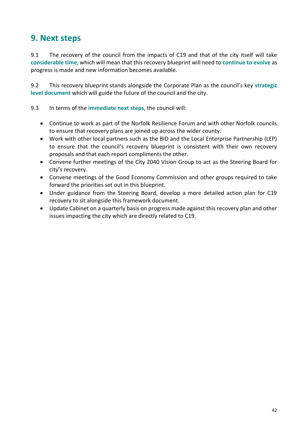# **9. Next steps**

9.1 The recovery of the council from the impacts of C19 and that of the city itself will take **considerable time**, which will mean that this recovery blueprint will need to **continue to evolve** as progress is made and new information becomes available.

9.2 This recovery blueprint stands alongside the Corporate Plan as the council's key **strategic level document** which will guide the future of the council and the city.

#### 9.3 In terms of the **immediate next steps**, the council will:

- Continue to work as part of the Norfolk Resilience Forum and with other Norfolk councils to ensure that recovery plans are joined up across the wider county.
- Work with other local partners such as the BID and the Local Enterprise Partnership (LEP) to ensure that the council's recovery blueprint is consistent with their own recovery proposals and that each report compliments the other.
- Convene further meetings of the City 2040 Vision Group to act as the Steering Board for city's recovery.
- Convene meetings of the Good Economy Commission and other groups required to take forward the priorities set out in this blueprint.
- Under guidance from the Steering Board, develop a more detailed action plan for C19 recovery to sit alongside this framework document.
- Update Cabinet on a quarterly basis on progress made against this recovery plan and other issues impacting the city which are directly related to C19.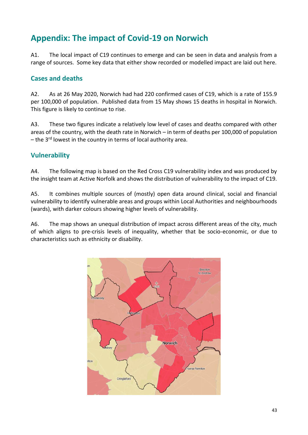# **Appendix: The impact of Covid-19 on Norwich**

A1. The local impact of C19 continues to emerge and can be seen in data and analysis from a range of sources. Some key data that either show recorded or modelled impact are laid out here.

#### **Cases and deaths**

A2. As at 26 May 2020, Norwich had had 220 confirmed cases of C19, which is a rate of 155.9 per 100,000 of population. Published data from 15 May shows 15 deaths in hospital in Norwich. This figure is likely to continue to rise.

A3. These two figures indicate a relatively low level of cases and deaths compared with other areas of the country, with the death rate in Norwich – in term of deaths per 100,000 of population  $-$  the 3<sup>rd</sup> lowest in the country in terms of local authority area.

### **Vulnerability**

A4. The following map is based on the Red Cross C19 vulnerability index and was produced by the insight team at Active Norfolk and shows the distribution of vulnerability to the impact of C19.

A5. It combines multiple sources of (mostly) open data around clinical, social and financial vulnerability to identify vulnerable areas and groups within Local Authorities and neighbourhoods (wards), with darker colours showing higher levels of vulnerability.

A6. The map shows an unequal distribution of impact across different areas of the city, much of which aligns to pre-crisis levels of inequality, whether that be socio-economic, or due to characteristics such as ethnicity or disability.

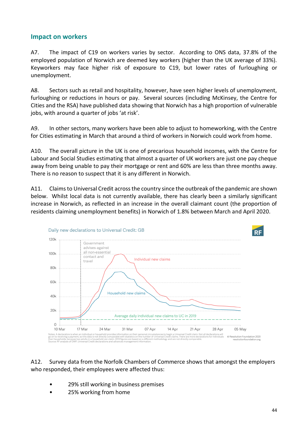#### **Impact on workers**

A7. The impact of C19 on workers varies by sector. According to ONS data, 37.8% of the employed population of Norwich are deemed key workers (higher than the UK average of 33%). Keyworkers may face higher risk of exposure to C19, but lower rates of furloughing or unemployment.

A8. Sectors such as retail and hospitality, however, have seen higher levels of unemployment, furloughing or reductions in hours or pay. Several sources (including McKinsey, the Centre for Cities and the RSA) have published data showing that Norwich has a high proportion of vulnerable jobs, with around a quarter of jobs 'at risk'.

A9. In other sectors, many workers have been able to adjust to homeworking, with the Centre for Cities estimating in March that around a third of workers in Norwich could work from home.

A10. The overall picture in the UK is one of precarious household incomes, with the Centre for Labour and Social Studies estimating that almost a quarter of UK workers are just one pay cheque away from being unable to pay their mortgage or rent and 60% are less than three months away. There is no reason to suspect that it is any different in Norwich.

A11. Claims to Universal Credit across the country since the outbreak of the pandemic are shown below. Whilst local data is not currently available, there has clearly been a similarly significant increase in Norwich, as reflected in an increase in the overall claimant count (the proportion of residents claiming unemployment benefits) in Norwich of 1.8% between March and April 2020.



#### A12. Survey data from the Norfolk Chambers of Commerce shows that amongst the employers who responded, their employees were affected thus:

- 29% still working in business premises
- 25% working from home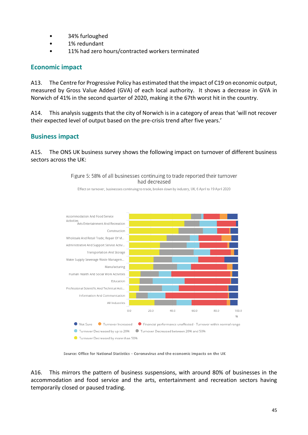- 34% furloughed
- 1% redundant
- 11% had zero hours/contracted workers terminated

#### **Economic impact**

A13. The Centre for Progressive Policy has estimated that the impact of C19 on economic output, measured by Gross Value Added (GVA) of each local authority. It shows a decrease in GVA in Norwich of 41% in the second quarter of 2020, making it the 67th worst hit in the country.

A14. This analysis suggests that the city of Norwich is in a category of areas that 'will not recover their expected level of output based on the pre-crisis trend after five years.'

### **Business impact**

A15. The ONS UK business survey shows the following impact on turnover of different business sectors across the UK:

> Figure 5: 58% of all businesses continuing to trade reported their turnover had decreased

Effect on turnover, businesses continuing to trade, broken down by industry, UK, 6 April to 19 April 2020



Source: Office for National Statistics - Coronavirus and the economic impacts on the UK

A16. This mirrors the pattern of business suspensions, with around 80% of businesses in the accommodation and food service and the arts, entertainment and recreation sectors having temporarily closed or paused trading.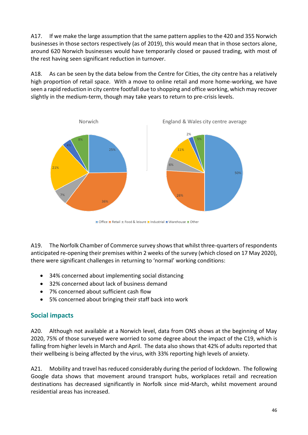A17. If we make the large assumption that the same pattern applies to the 420 and 355 Norwich businesses in those sectors respectively (as of 2019), this would mean that in those sectors alone, around 620 Norwich businesses would have temporarily closed or paused trading, with most of the rest having seen significant reduction in turnover.

A18. As can be seen by the data below from the Centre for Cities, the city centre has a relatively high proportion of retail space. With a move to online retail and more home-working, we have seen a rapid reduction in city centre footfall due to shopping and office working, which may recover slightly in the medium-term, though may take years to return to pre-crisis levels.



A19. The Norfolk Chamber of Commerce survey shows that whilst three-quarters of respondents anticipated re-opening their premises within 2 weeks of the survey (which closed on 17 May 2020), there were significant challenges in returning to 'normal' working conditions:

- 34% concerned about implementing social distancing
- 32% concerned about lack of business demand
- 7% concerned about sufficient cash flow
- 5% concerned about bringing their staff back into work

# **Social impacts**

A20. Although not available at a Norwich level, data from ONS shows at the beginning of May 2020, 75% of those surveyed were worried to some degree about the impact of the C19, which is falling from higher levels in March and April. The data also shows that 42% of adults reported that their wellbeing is being affected by the virus, with 33% reporting high levels of anxiety.

A21. Mobility and travel has reduced considerably during the period of lockdown. The following Google data shows that movement around transport hubs, workplaces retail and recreation destinations has decreased significantly in Norfolk since mid-March, whilst movement around residential areas has increased.